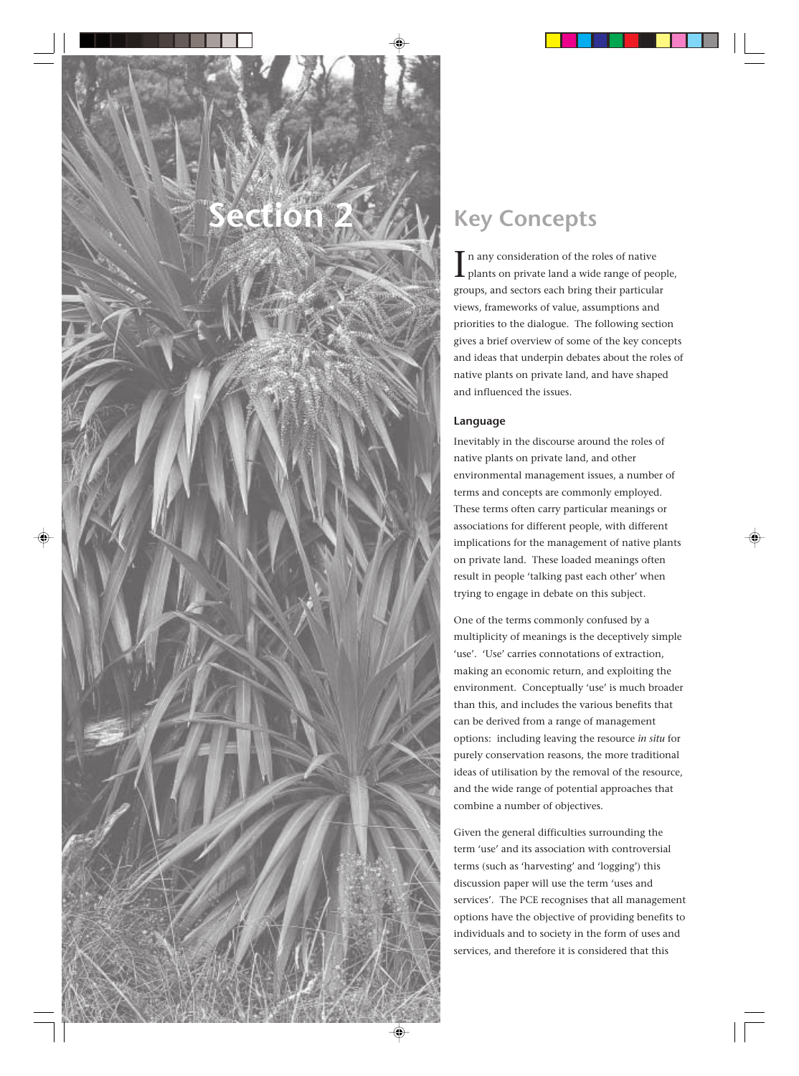# **Section 2**

# **Key Concepts**

In any consideration of the roles of native<br>plants on private land a wide range of people, n any consideration of the roles of native groups, and sectors each bring their particular views, frameworks of value, assumptions and priorities to the dialogue. The following section gives a brief overview of some of the key concepts and ideas that underpin debates about the roles of native plants on private land, and have shaped and influenced the issues.

# **Language**

Inevitably in the discourse around the roles of native plants on private land, and other environmental management issues, a number of terms and concepts are commonly employed. These terms often carry particular meanings or associations for different people, with different implications for the management of native plants on private land. These loaded meanings often result in people 'talking past each other' when trying to engage in debate on this subject.

One of the terms commonly confused by a multiplicity of meanings is the deceptively simple 'use'. 'Use' carries connotations of extraction, making an economic return, and exploiting the environment. Conceptually 'use' is much broader than this, and includes the various benefits that can be derived from a range of management options: including leaving the resource *in situ* for purely conservation reasons, the more traditional ideas of utilisation by the removal of the resource, and the wide range of potential approaches that combine a number of objectives.

Given the general difficulties surrounding the term 'use' and its association with controversial terms (such as 'harvesting' and 'logging') this discussion paper will use the term 'uses and services'. The PCE recognises that all management options have the objective of providing benefits to individuals and to society in the form of uses and services, and therefore it is considered that this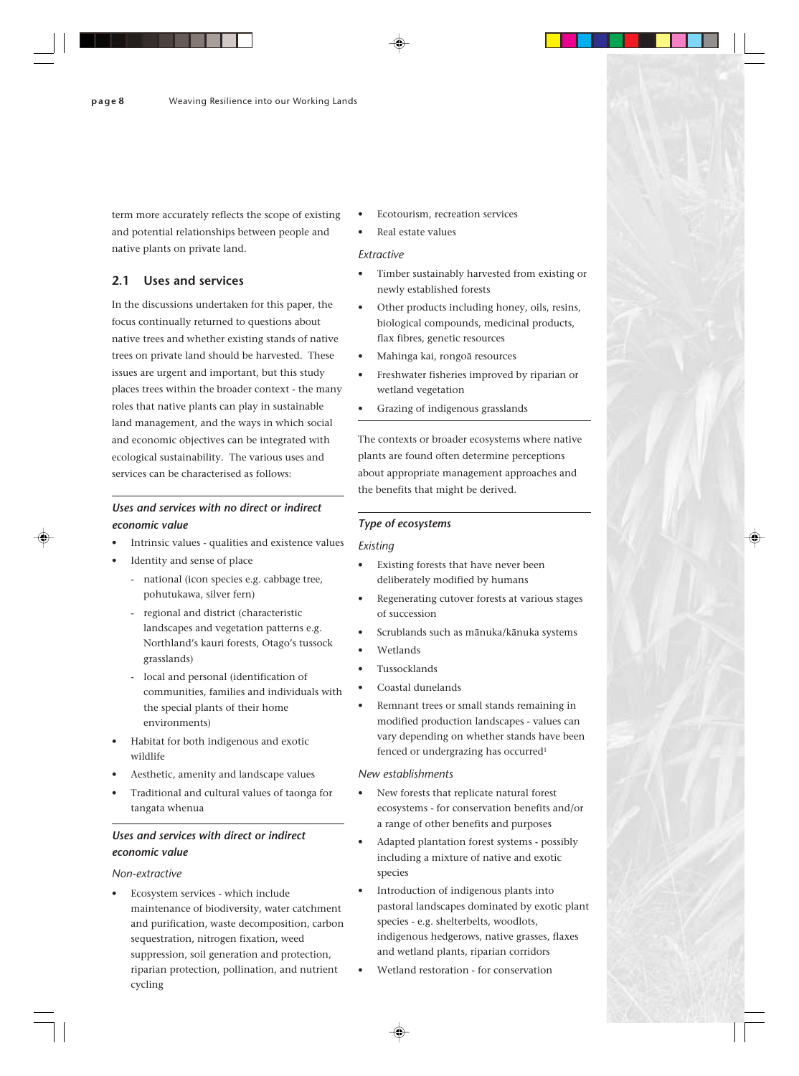term more accurately reflects the scope of existing and potential relationships between people and native plants on private land.

# **2.1 Uses and services**

In the discussions undertaken for this paper, the focus continually returned to questions about native trees and whether existing stands of native trees on private land should be harvested. These issues are urgent and important, but this study places trees within the broader context - the many roles that native plants can play in sustainable land management, and the ways in which social and economic objectives can be integrated with ecological sustainability. The various uses and services can be characterised as follows:

# *Uses and services with no direct or indirect economic value*

- Intrinsic values qualities and existence values
- Identity and sense of place
	- national (icon species e.g. cabbage tree, pohutukawa, silver fern)
	- regional and district (characteristic landscapes and vegetation patterns e.g. Northland's kauri forests, Otago's tussock grasslands)
	- local and personal (identification of communities, families and individuals with the special plants of their home environments)
- Habitat for both indigenous and exotic wildlife
- Aesthetic, amenity and landscape values
- Traditional and cultural values of taonga for tangata whenua

# *Uses and services with direct or indirect economic value*

*Non-extractive*

• Ecosystem services - which include maintenance of biodiversity, water catchment and purification, waste decomposition, carbon sequestration, nitrogen fixation, weed suppression, soil generation and protection, riparian protection, pollination, and nutrient cycling

- Ecotourism, recreation services
- Real estate values

#### *Extractive*

- Timber sustainably harvested from existing or newly established forests
- Other products including honey, oils, resins, biological compounds, medicinal products, flax fibres, genetic resources
- Mahinga kai, rongoä resources
- Freshwater fisheries improved by riparian or wetland vegetation
- Grazing of indigenous grasslands

The contexts or broader ecosystems where native plants are found often determine perceptions about appropriate management approaches and the benefits that might be derived.

#### *Type of ecosystems*

#### *Existing*

- Existing forests that have never been deliberately modified by humans
- Regenerating cutover forests at various stages of succession
- Scrublands such as mänuka/känuka systems
- Wetlands
- Tussocklands
- Coastal dunelands
- Remnant trees or small stands remaining in modified production landscapes - values can vary depending on whether stands have been fenced or undergrazing has occurred<sup>1</sup>

#### *New establishments*

- New forests that replicate natural forest ecosystems - for conservation benefits and/or a range of other benefits and purposes
- Adapted plantation forest systems possibly including a mixture of native and exotic species
- Introduction of indigenous plants into pastoral landscapes dominated by exotic plant species - e.g. shelterbelts, woodlots, indigenous hedgerows, native grasses, flaxes and wetland plants, riparian corridors
- Wetland restoration for conservation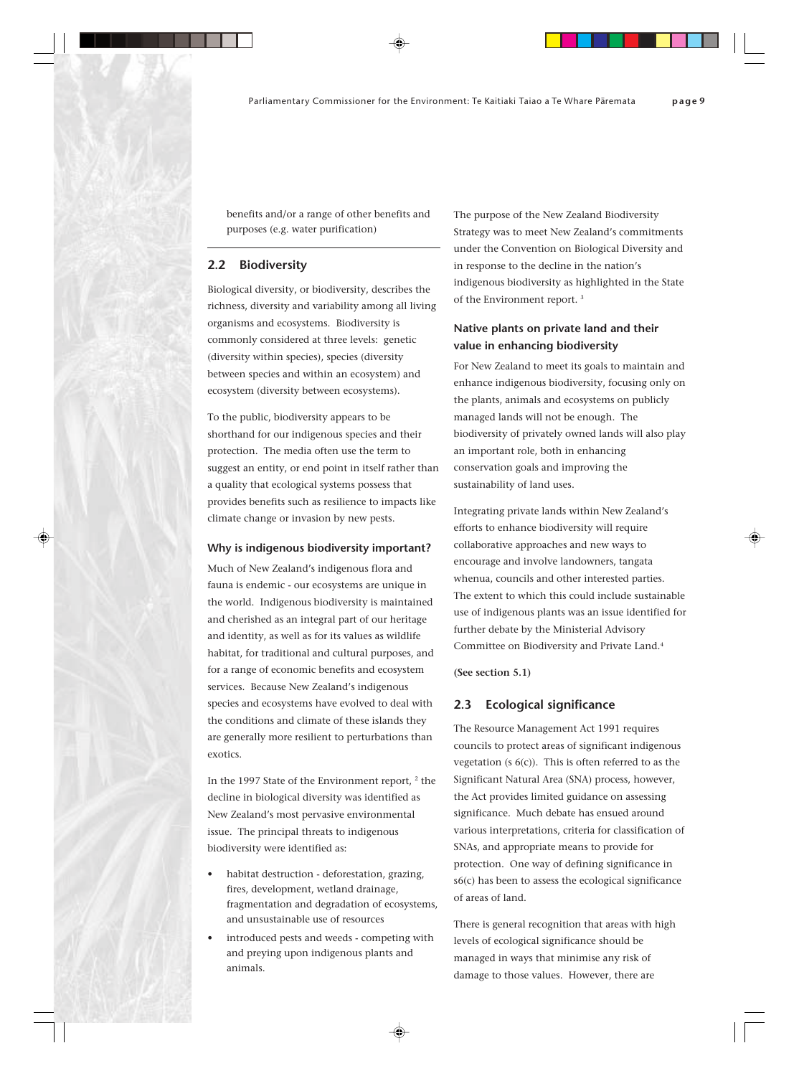benefits and/or a range of other benefits and purposes (e.g. water purification)

### **2.2 Biodiversity**

Biological diversity, or biodiversity, describes the richness, diversity and variability among all living organisms and ecosystems. Biodiversity is commonly considered at three levels: genetic (diversity within species), species (diversity between species and within an ecosystem) and ecosystem (diversity between ecosystems).

To the public, biodiversity appears to be shorthand for our indigenous species and their protection. The media often use the term to suggest an entity, or end point in itself rather than a quality that ecological systems possess that provides benefits such as resilience to impacts like climate change or invasion by new pests.

#### **Why is indigenous biodiversity important?**

Much of New Zealand's indigenous flora and fauna is endemic - our ecosystems are unique in the world. Indigenous biodiversity is maintained and cherished as an integral part of our heritage and identity, as well as for its values as wildlife habitat, for traditional and cultural purposes, and for a range of economic benefits and ecosystem services. Because New Zealand's indigenous species and ecosystems have evolved to deal with the conditions and climate of these islands they are generally more resilient to perturbations than exotics.

In the 1997 State of the Environment report,  $2$  the decline in biological diversity was identified as New Zealand's most pervasive environmental issue. The principal threats to indigenous biodiversity were identified as:

- habitat destruction deforestation, grazing, fires, development, wetland drainage, fragmentation and degradation of ecosystems, and unsustainable use of resources
- introduced pests and weeds competing with and preying upon indigenous plants and animals.

The purpose of the New Zealand Biodiversity Strategy was to meet New Zealand's commitments under the Convention on Biological Diversity and in response to the decline in the nation's indigenous biodiversity as highlighted in the State of the Environment report. 3

# **Native plants on private land and their value in enhancing biodiversity**

For New Zealand to meet its goals to maintain and enhance indigenous biodiversity, focusing only on the plants, animals and ecosystems on publicly managed lands will not be enough. The biodiversity of privately owned lands will also play an important role, both in enhancing conservation goals and improving the sustainability of land uses.

Integrating private lands within New Zealand's efforts to enhance biodiversity will require collaborative approaches and new ways to encourage and involve landowners, tangata whenua, councils and other interested parties. The extent to which this could include sustainable use of indigenous plants was an issue identified for further debate by the Ministerial Advisory Committee on Biodiversity and Private Land.4

**(See section 5.1)**

# **2.3 Ecological significance**

The Resource Management Act 1991 requires councils to protect areas of significant indigenous vegetation (s  $6(c)$ ). This is often referred to as the Significant Natural Area (SNA) process, however, the Act provides limited guidance on assessing significance. Much debate has ensued around various interpretations, criteria for classification of SNAs, and appropriate means to provide for protection. One way of defining significance in s6(c) has been to assess the ecological significance of areas of land.

There is general recognition that areas with high levels of ecological significance should be managed in ways that minimise any risk of damage to those values. However, there are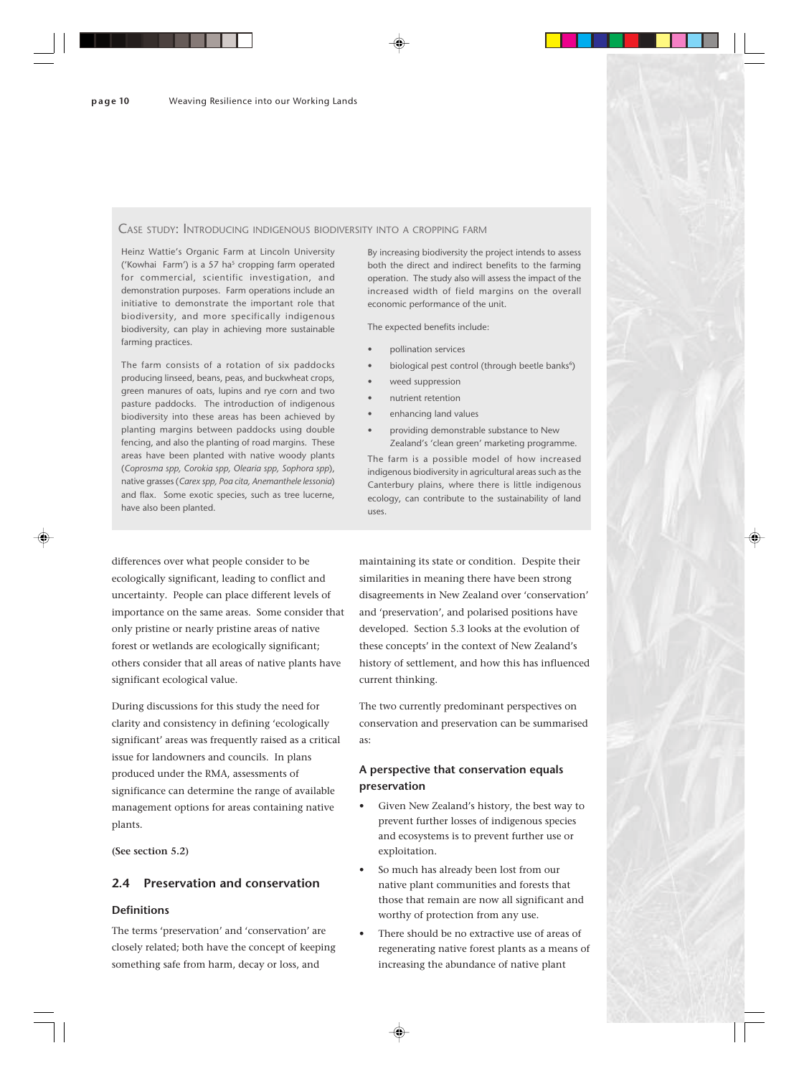#### CASE STUDY: INTRODUCING INDIGENOUS BIODIVERSITY INTO A CROPPING FARM

Heinz Wattie's Organic Farm at Lincoln University ('Kowhai Farm') is a 57 ha<sup>5</sup> cropping farm operated for commercial, scientific investigation, and demonstration purposes. Farm operations include an initiative to demonstrate the important role that biodiversity, and more specifically indigenous biodiversity, can play in achieving more sustainable farming practices.

The farm consists of a rotation of six paddocks producing linseed, beans, peas, and buckwheat crops, green manures of oats, lupins and rye corn and two pasture paddocks. The introduction of indigenous biodiversity into these areas has been achieved by planting margins between paddocks using double fencing, and also the planting of road margins. These areas have been planted with native woody plants (*Coprosma spp, Corokia spp, Olearia spp, Sophora spp*), native grasses (*Carex spp, Poa cita, Anemanthele lessonia*) and flax. Some exotic species, such as tree lucerne, have also been planted.

differences over what people consider to be ecologically significant, leading to conflict and uncertainty. People can place different levels of importance on the same areas. Some consider that only pristine or nearly pristine areas of native forest or wetlands are ecologically significant; others consider that all areas of native plants have significant ecological value.

During discussions for this study the need for clarity and consistency in defining 'ecologically significant' areas was frequently raised as a critical issue for landowners and councils. In plans produced under the RMA, assessments of significance can determine the range of available management options for areas containing native plants.

**(See section 5.2)**

# **2.4 Preservation and conservation**

#### **Definitions**

The terms 'preservation' and 'conservation' are closely related; both have the concept of keeping something safe from harm, decay or loss, and

By increasing biodiversity the project intends to assess both the direct and indirect benefits to the farming operation. The study also will assess the impact of the increased width of field margins on the overall economic performance of the unit.

The expected benefits include:

- pollination services
- biological pest control (through beetle banks<sup>6</sup>)
- weed suppression
- nutrient retention
- enhancing land values
- providing demonstrable substance to New Zealand's 'clean green' marketing programme.

The farm is a possible model of how increased indigenous biodiversity in agricultural areas such as the Canterbury plains, where there is little indigenous ecology, can contribute to the sustainability of land uses.

maintaining its state or condition. Despite their similarities in meaning there have been strong disagreements in New Zealand over 'conservation' and 'preservation', and polarised positions have developed. Section 5.3 looks at the evolution of these concepts' in the context of New Zealand's history of settlement, and how this has influenced current thinking.

The two currently predominant perspectives on conservation and preservation can be summarised as:

# **A perspective that conservation equals preservation**

- Given New Zealand's history, the best way to prevent further losses of indigenous species and ecosystems is to prevent further use or exploitation.
- So much has already been lost from our native plant communities and forests that those that remain are now all significant and worthy of protection from any use.
- There should be no extractive use of areas of regenerating native forest plants as a means of increasing the abundance of native plant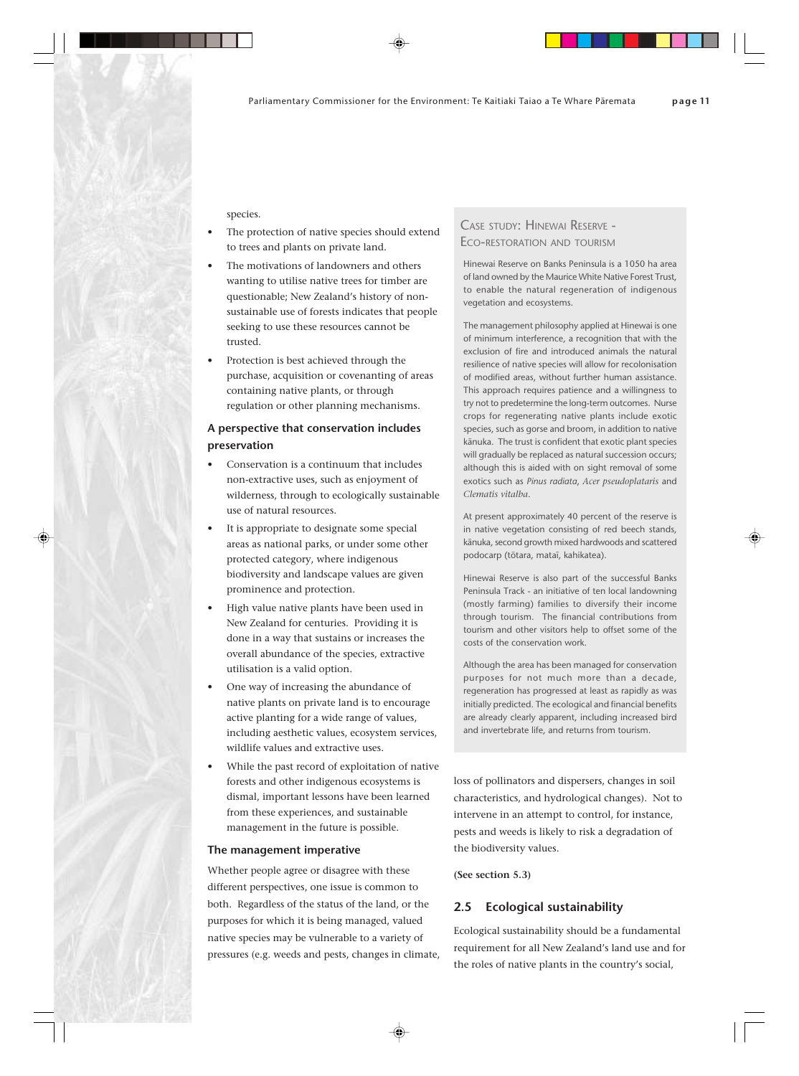species.

- The protection of native species should extend to trees and plants on private land.
- The motivations of landowners and others wanting to utilise native trees for timber are questionable; New Zealand's history of nonsustainable use of forests indicates that people seeking to use these resources cannot be trusted.
- Protection is best achieved through the purchase, acquisition or covenanting of areas containing native plants, or through regulation or other planning mechanisms.

# **A perspective that conservation includes preservation**

- Conservation is a continuum that includes non-extractive uses, such as enjoyment of wilderness, through to ecologically sustainable use of natural resources.
- It is appropriate to designate some special areas as national parks, or under some other protected category, where indigenous biodiversity and landscape values are given prominence and protection.
- High value native plants have been used in New Zealand for centuries. Providing it is done in a way that sustains or increases the overall abundance of the species, extractive utilisation is a valid option.
- One way of increasing the abundance of native plants on private land is to encourage active planting for a wide range of values, including aesthetic values, ecosystem services, wildlife values and extractive uses.
- While the past record of exploitation of native forests and other indigenous ecosystems is dismal, important lessons have been learned from these experiences, and sustainable management in the future is possible.

#### **The management imperative**

Whether people agree or disagree with these different perspectives, one issue is common to both. Regardless of the status of the land, or the purposes for which it is being managed, valued native species may be vulnerable to a variety of pressures (e.g. weeds and pests, changes in climate,

# CASE STUDY: HINEWAI RESERVE - ECO-RESTORATION AND TOURISM

Hinewai Reserve on Banks Peninsula is a 1050 ha area of land owned by the Maurice White Native Forest Trust, to enable the natural regeneration of indigenous vegetation and ecosystems.

The management philosophy applied at Hinewai is one of minimum interference, a recognition that with the exclusion of fire and introduced animals the natural resilience of native species will allow for recolonisation of modified areas, without further human assistance. This approach requires patience and a willingness to try not to predetermine the long-term outcomes. Nurse crops for regenerating native plants include exotic species, such as gorse and broom, in addition to native känuka. The trust is confident that exotic plant species will gradually be replaced as natural succession occurs; although this is aided with on sight removal of some exotics such as *Pinus radiata*, *Acer pseudoplataris* and *Clematis vitalba*.

At present approximately 40 percent of the reserve is in native vegetation consisting of red beech stands, känuka, second growth mixed hardwoods and scattered podocarp (tötara, mataï, kahikatea).

Hinewai Reserve is also part of the successful Banks Peninsula Track - an initiative of ten local landowning (mostly farming) families to diversify their income through tourism. The financial contributions from tourism and other visitors help to offset some of the costs of the conservation work.

Although the area has been managed for conservation purposes for not much more than a decade, regeneration has progressed at least as rapidly as was initially predicted. The ecological and financial benefits are already clearly apparent, including increased bird and invertebrate life, and returns from tourism.

loss of pollinators and dispersers, changes in soil characteristics, and hydrological changes). Not to intervene in an attempt to control, for instance, pests and weeds is likely to risk a degradation of the biodiversity values.

**(See section 5.3)**

# **2.5 Ecological sustainability**

Ecological sustainability should be a fundamental requirement for all New Zealand's land use and for the roles of native plants in the country's social,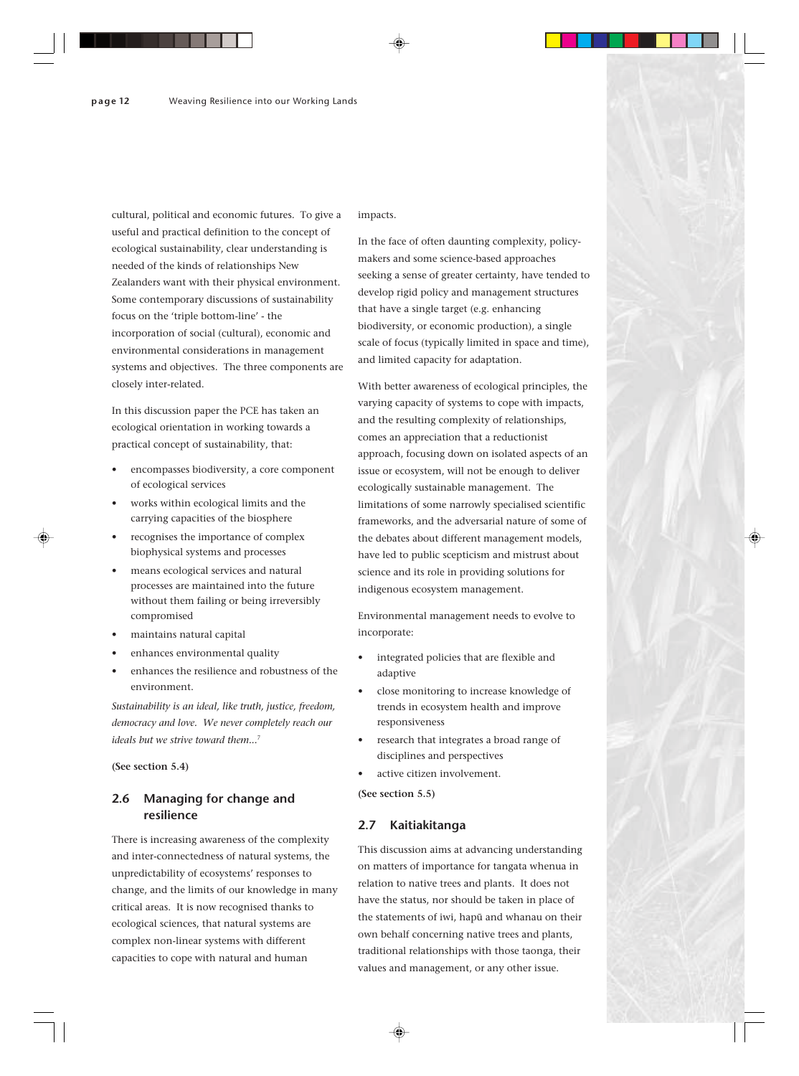cultural, political and economic futures. To give a useful and practical definition to the concept of ecological sustainability, clear understanding is needed of the kinds of relationships New Zealanders want with their physical environment. Some contemporary discussions of sustainability focus on the 'triple bottom-line' - the incorporation of social (cultural), economic and environmental considerations in management systems and objectives. The three components are closely inter-related.

In this discussion paper the PCE has taken an ecological orientation in working towards a practical concept of sustainability, that:

- encompasses biodiversity, a core component of ecological services
- works within ecological limits and the carrying capacities of the biosphere
- recognises the importance of complex biophysical systems and processes
- means ecological services and natural processes are maintained into the future without them failing or being irreversibly compromised
- maintains natural capital
- enhances environmental quality
- enhances the resilience and robustness of the environment.

*Sustainability is an ideal, like truth, justice, freedom, democracy and love. We never completely reach our ideals but we strive toward them...*<sup>7</sup>

**(See section 5.4)**

# **2.6 Managing for change and resilience**

There is increasing awareness of the complexity and inter-connectedness of natural systems, the unpredictability of ecosystems' responses to change, and the limits of our knowledge in many critical areas. It is now recognised thanks to ecological sciences, that natural systems are complex non-linear systems with different capacities to cope with natural and human

impacts.

In the face of often daunting complexity, policymakers and some science-based approaches seeking a sense of greater certainty, have tended to develop rigid policy and management structures that have a single target (e.g. enhancing biodiversity, or economic production), a single scale of focus (typically limited in space and time), and limited capacity for adaptation.

With better awareness of ecological principles, the varying capacity of systems to cope with impacts, and the resulting complexity of relationships, comes an appreciation that a reductionist approach, focusing down on isolated aspects of an issue or ecosystem, will not be enough to deliver ecologically sustainable management. The limitations of some narrowly specialised scientific frameworks, and the adversarial nature of some of the debates about different management models, have led to public scepticism and mistrust about science and its role in providing solutions for indigenous ecosystem management.

Environmental management needs to evolve to incorporate:

- integrated policies that are flexible and adaptive
- close monitoring to increase knowledge of trends in ecosystem health and improve responsiveness
- research that integrates a broad range of disciplines and perspectives
- active citizen involvement.

**(See section 5.5)**

#### **2.7 Kaitiakitanga**

This discussion aims at advancing understanding on matters of importance for tangata whenua in relation to native trees and plants. It does not have the status, nor should be taken in place of the statements of iwi, hapü and whanau on their own behalf concerning native trees and plants, traditional relationships with those taonga, their values and management, or any other issue.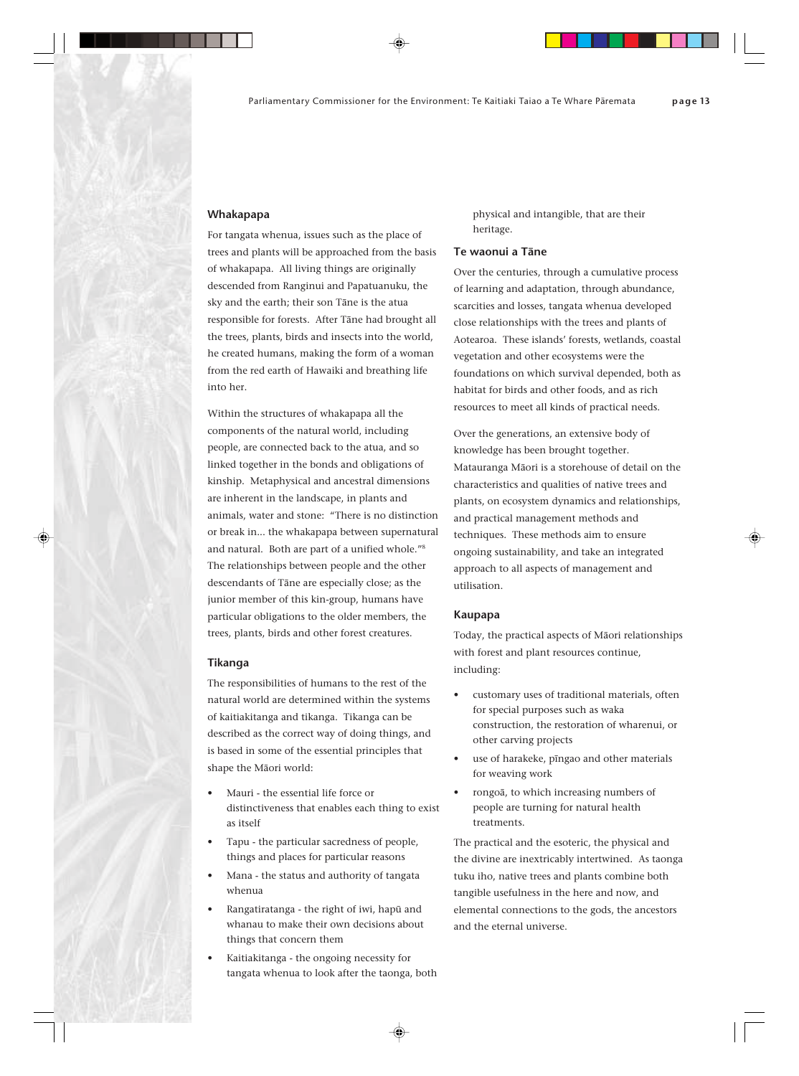#### **Whakapapa**

For tangata whenua, issues such as the place of trees and plants will be approached from the basis of whakapapa. All living things are originally descended from Ranginui and Papatuanuku, the sky and the earth; their son Täne is the atua responsible for forests. After Täne had brought all the trees, plants, birds and insects into the world, he created humans, making the form of a woman from the red earth of Hawaiki and breathing life into her.

Within the structures of whakapapa all the components of the natural world, including people, are connected back to the atua, and so linked together in the bonds and obligations of kinship. Metaphysical and ancestral dimensions are inherent in the landscape, in plants and animals, water and stone: "There is no distinction or break in... the whakapapa between supernatural and natural. Both are part of a unified whole."8 The relationships between people and the other descendants of Täne are especially close; as the junior member of this kin-group, humans have particular obligations to the older members, the trees, plants, birds and other forest creatures.

#### **Tikanga**

The responsibilities of humans to the rest of the natural world are determined within the systems of kaitiakitanga and tikanga. Tikanga can be described as the correct way of doing things, and is based in some of the essential principles that shape the Mäori world:

- Mauri the essential life force or distinctiveness that enables each thing to exist as itself
- Tapu the particular sacredness of people, things and places for particular reasons
- Mana the status and authority of tangata whenua
- Rangatiratanga the right of iwi, hapü and whanau to make their own decisions about things that concern them
- Kaitiakitanga the ongoing necessity for tangata whenua to look after the taonga, both

physical and intangible, that are their heritage.

#### **Te waonui a Täne**

Over the centuries, through a cumulative process of learning and adaptation, through abundance, scarcities and losses, tangata whenua developed close relationships with the trees and plants of Aotearoa. These islands' forests, wetlands, coastal vegetation and other ecosystems were the foundations on which survival depended, both as habitat for birds and other foods, and as rich resources to meet all kinds of practical needs.

Over the generations, an extensive body of knowledge has been brought together. Matauranga Mäori is a storehouse of detail on the characteristics and qualities of native trees and plants, on ecosystem dynamics and relationships, and practical management methods and techniques. These methods aim to ensure ongoing sustainability, and take an integrated approach to all aspects of management and utilisation.

#### **Kaupapa**

Today, the practical aspects of Mäori relationships with forest and plant resources continue, including:

- customary uses of traditional materials, often for special purposes such as waka construction, the restoration of wharenui, or other carving projects
- use of harakeke, pīngao and other materials for weaving work
- rongoä, to which increasing numbers of people are turning for natural health treatments.

The practical and the esoteric, the physical and the divine are inextricably intertwined. As taonga tuku iho, native trees and plants combine both tangible usefulness in the here and now, and elemental connections to the gods, the ancestors and the eternal universe.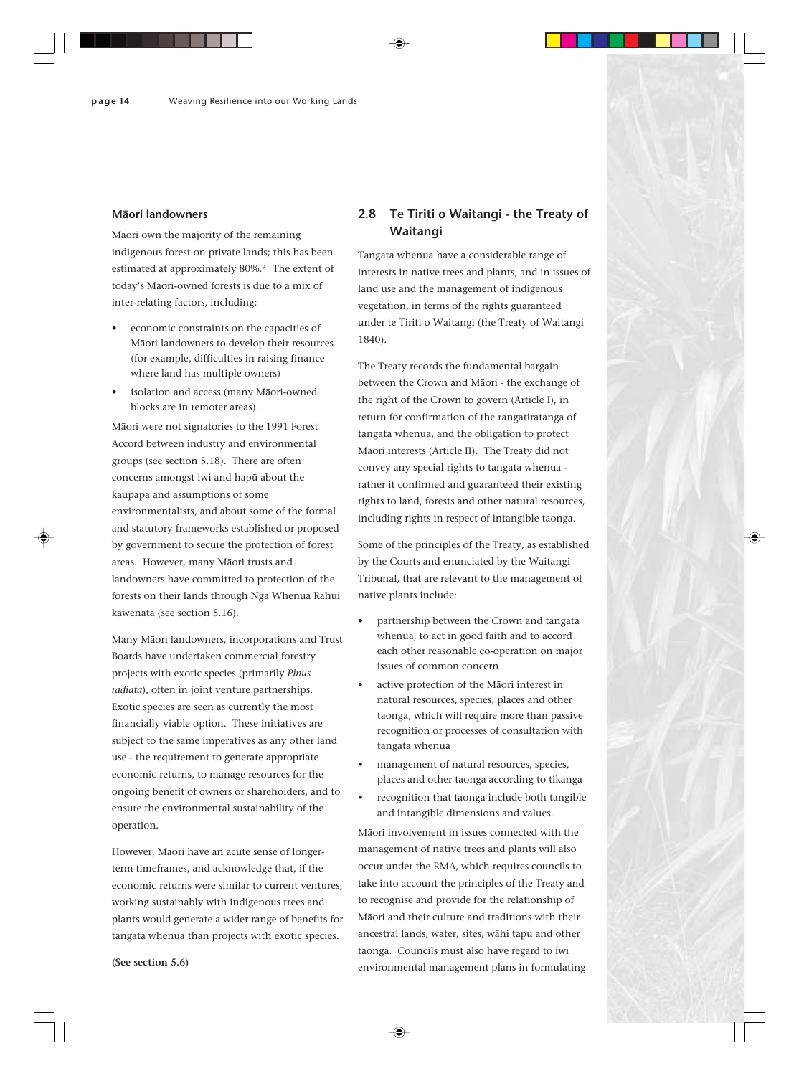#### **Mäori landowners**

Mäori own the majority of the remaining indigenous forest on private lands; this has been estimated at approximately 80%.<sup>9</sup> The extent of today's Mäori-owned forests is due to a mix of inter-relating factors, including:

- economic constraints on the capacities of Mäori landowners to develop their resources (for example, difficulties in raising finance where land has multiple owners)
- isolation and access (many Mäori-owned blocks are in remoter areas).

Mäori were not signatories to the 1991 Forest Accord between industry and environmental groups (see section 5.18). There are often concerns amongst iwi and hapü about the kaupapa and assumptions of some environmentalists, and about some of the formal and statutory frameworks established or proposed by government to secure the protection of forest areas. However, many Mäori trusts and landowners have committed to protection of the forests on their lands through Nga Whenua Rahui kawenata (see section 5.16).

Many Mäori landowners, incorporations and Trust Boards have undertaken commercial forestry projects with exotic species (primarily *Pinus radiata*), often in joint venture partnerships. Exotic species are seen as currently the most financially viable option. These initiatives are subject to the same imperatives as any other land use - the requirement to generate appropriate economic returns, to manage resources for the ongoing benefit of owners or shareholders, and to ensure the environmental sustainability of the operation.

However, Mäori have an acute sense of longerterm timeframes, and acknowledge that, if the economic returns were similar to current ventures, working sustainably with indigenous trees and plants would generate a wider range of benefits for tangata whenua than projects with exotic species.

# **2.8 Te Tiriti o Waitangi - the Treaty of Waitangi**

Tangata whenua have a considerable range of interests in native trees and plants, and in issues of land use and the management of indigenous vegetation, in terms of the rights guaranteed under te Tiriti o Waitangi (the Treaty of Waitangi 1840).

The Treaty records the fundamental bargain between the Crown and Mäori - the exchange of the right of the Crown to govern (Article I), in return for confirmation of the rangatiratanga of tangata whenua, and the obligation to protect Mäori interests (Article II). The Treaty did not convey any special rights to tangata whenua rather it confirmed and guaranteed their existing rights to land, forests and other natural resources, including rights in respect of intangible taonga.

Some of the principles of the Treaty, as established by the Courts and enunciated by the Waitangi Tribunal, that are relevant to the management of native plants include:

- partnership between the Crown and tangata whenua, to act in good faith and to accord each other reasonable co-operation on major issues of common concern
- active protection of the Māori interest in natural resources, species, places and other taonga, which will require more than passive recognition or processes of consultation with tangata whenua
- management of natural resources, species, places and other taonga according to tikanga
- recognition that taonga include both tangible and intangible dimensions and values.

Mäori involvement in issues connected with the management of native trees and plants will also occur under the RMA, which requires councils to take into account the principles of the Treaty and to recognise and provide for the relationship of Mäori and their culture and traditions with their ancestral lands, water, sites, wähi tapu and other taonga. Councils must also have regard to iwi environmental management plans in formulating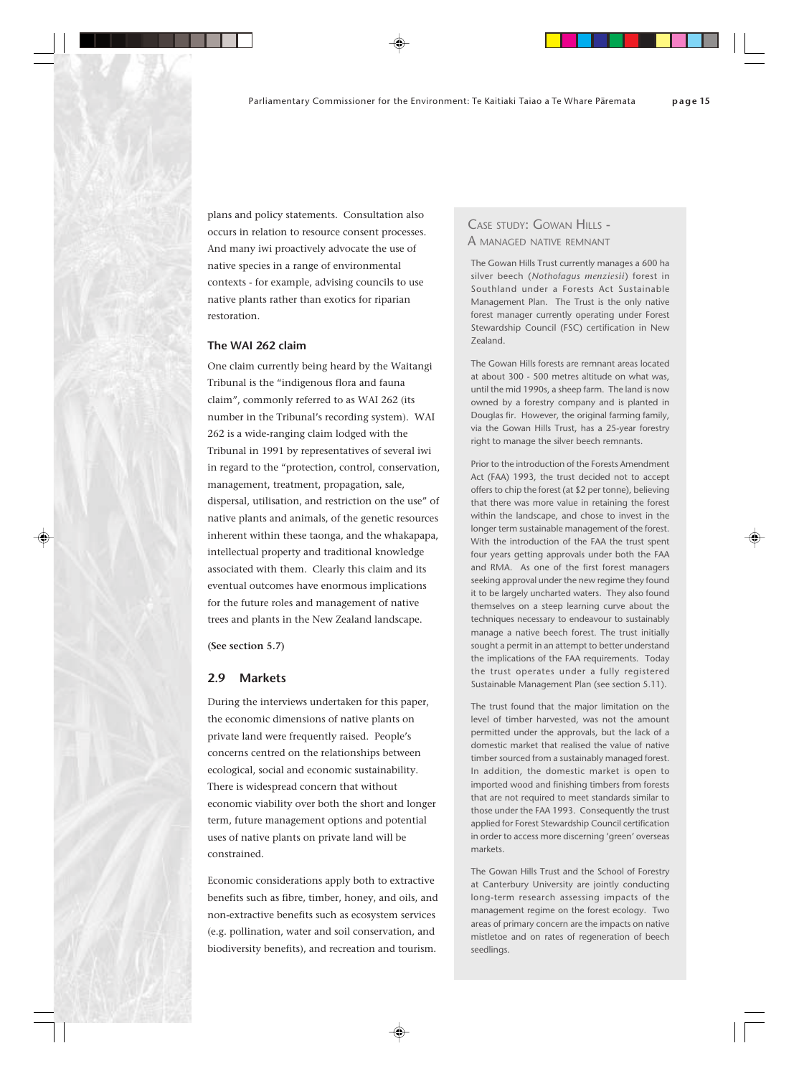plans and policy statements. Consultation also occurs in relation to resource consent processes. And many iwi proactively advocate the use of native species in a range of environmental contexts - for example, advising councils to use native plants rather than exotics for riparian restoration.

#### **The WAI 262 claim**

One claim currently being heard by the Waitangi Tribunal is the "indigenous flora and fauna claim", commonly referred to as WAI 262 (its number in the Tribunal's recording system). WAI 262 is a wide-ranging claim lodged with the Tribunal in 1991 by representatives of several iwi in regard to the "protection, control, conservation, management, treatment, propagation, sale, dispersal, utilisation, and restriction on the use" of native plants and animals, of the genetic resources inherent within these taonga, and the whakapapa, intellectual property and traditional knowledge associated with them. Clearly this claim and its eventual outcomes have enormous implications for the future roles and management of native trees and plants in the New Zealand landscape.

**(See section 5.7)**

#### **2.9 Markets**

During the interviews undertaken for this paper, the economic dimensions of native plants on private land were frequently raised. People's concerns centred on the relationships between ecological, social and economic sustainability. There is widespread concern that without economic viability over both the short and longer term, future management options and potential uses of native plants on private land will be constrained.

Economic considerations apply both to extractive benefits such as fibre, timber, honey, and oils, and non-extractive benefits such as ecosystem services (e.g. pollination, water and soil conservation, and biodiversity benefits), and recreation and tourism.

# CASE STUDY: GOWAN HILLS -A MANAGED NATIVE REMNANT

The Gowan Hills Trust currently manages a 600 ha silver beech (*Nothofagus menziesii*) forest in Southland under a Forests Act Sustainable Management Plan. The Trust is the only native forest manager currently operating under Forest Stewardship Council (FSC) certification in New Zealand.

The Gowan Hills forests are remnant areas located at about 300 - 500 metres altitude on what was, until the mid 1990s, a sheep farm. The land is now owned by a forestry company and is planted in Douglas fir. However, the original farming family, via the Gowan Hills Trust, has a 25-year forestry right to manage the silver beech remnants.

Prior to the introduction of the Forests Amendment Act (FAA) 1993, the trust decided not to accept offers to chip the forest (at \$2 per tonne), believing that there was more value in retaining the forest within the landscape, and chose to invest in the longer term sustainable management of the forest. With the introduction of the FAA the trust spent four years getting approvals under both the FAA and RMA. As one of the first forest managers seeking approval under the new regime they found it to be largely uncharted waters. They also found themselves on a steep learning curve about the techniques necessary to endeavour to sustainably manage a native beech forest. The trust initially sought a permit in an attempt to better understand the implications of the FAA requirements. Today the trust operates under a fully registered Sustainable Management Plan (see section 5.11).

The trust found that the major limitation on the level of timber harvested, was not the amount permitted under the approvals, but the lack of a domestic market that realised the value of native timber sourced from a sustainably managed forest. In addition, the domestic market is open to imported wood and finishing timbers from forests that are not required to meet standards similar to those under the FAA 1993. Consequently the trust applied for Forest Stewardship Council certification in order to access more discerning 'green' overseas markets.

The Gowan Hills Trust and the School of Forestry at Canterbury University are jointly conducting long-term research assessing impacts of the management regime on the forest ecology. Two areas of primary concern are the impacts on native mistletoe and on rates of regeneration of beech seedlings.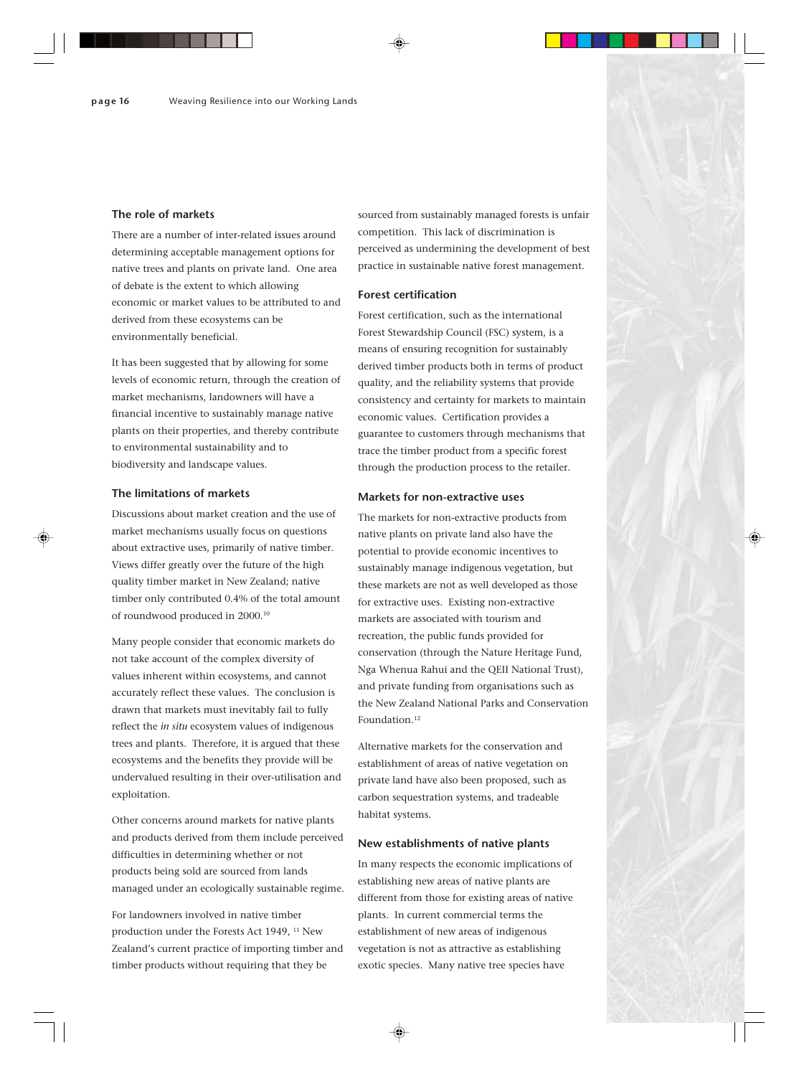#### **The role of markets**

There are a number of inter-related issues around determining acceptable management options for native trees and plants on private land. One area of debate is the extent to which allowing economic or market values to be attributed to and derived from these ecosystems can be environmentally beneficial.

It has been suggested that by allowing for some levels of economic return, through the creation of market mechanisms, landowners will have a financial incentive to sustainably manage native plants on their properties, and thereby contribute to environmental sustainability and to biodiversity and landscape values.

#### **The limitations of markets**

Discussions about market creation and the use of market mechanisms usually focus on questions about extractive uses, primarily of native timber. Views differ greatly over the future of the high quality timber market in New Zealand; native timber only contributed 0.4% of the total amount of roundwood produced in 2000.10

Many people consider that economic markets do not take account of the complex diversity of values inherent within ecosystems, and cannot accurately reflect these values. The conclusion is drawn that markets must inevitably fail to fully reflect the *in situ* ecosystem values of indigenous trees and plants. Therefore, it is argued that these ecosystems and the benefits they provide will be undervalued resulting in their over-utilisation and exploitation.

Other concerns around markets for native plants and products derived from them include perceived difficulties in determining whether or not products being sold are sourced from lands managed under an ecologically sustainable regime.

For landowners involved in native timber production under the Forests Act 1949, 11 New Zealand's current practice of importing timber and timber products without requiring that they be

sourced from sustainably managed forests is unfair competition. This lack of discrimination is perceived as undermining the development of best practice in sustainable native forest management.

#### **Forest certification**

Forest certification, such as the international Forest Stewardship Council (FSC) system, is a means of ensuring recognition for sustainably derived timber products both in terms of product quality, and the reliability systems that provide consistency and certainty for markets to maintain economic values. Certification provides a guarantee to customers through mechanisms that trace the timber product from a specific forest through the production process to the retailer.

#### **Markets for non-extractive uses**

The markets for non-extractive products from native plants on private land also have the potential to provide economic incentives to sustainably manage indigenous vegetation, but these markets are not as well developed as those for extractive uses. Existing non-extractive markets are associated with tourism and recreation, the public funds provided for conservation (through the Nature Heritage Fund, Nga Whenua Rahui and the QEII National Trust), and private funding from organisations such as the New Zealand National Parks and Conservation Foundation.<sup>12</sup>

Alternative markets for the conservation and establishment of areas of native vegetation on private land have also been proposed, such as carbon sequestration systems, and tradeable habitat systems.

#### **New establishments of native plants**

In many respects the economic implications of establishing new areas of native plants are different from those for existing areas of native plants. In current commercial terms the establishment of new areas of indigenous vegetation is not as attractive as establishing exotic species. Many native tree species have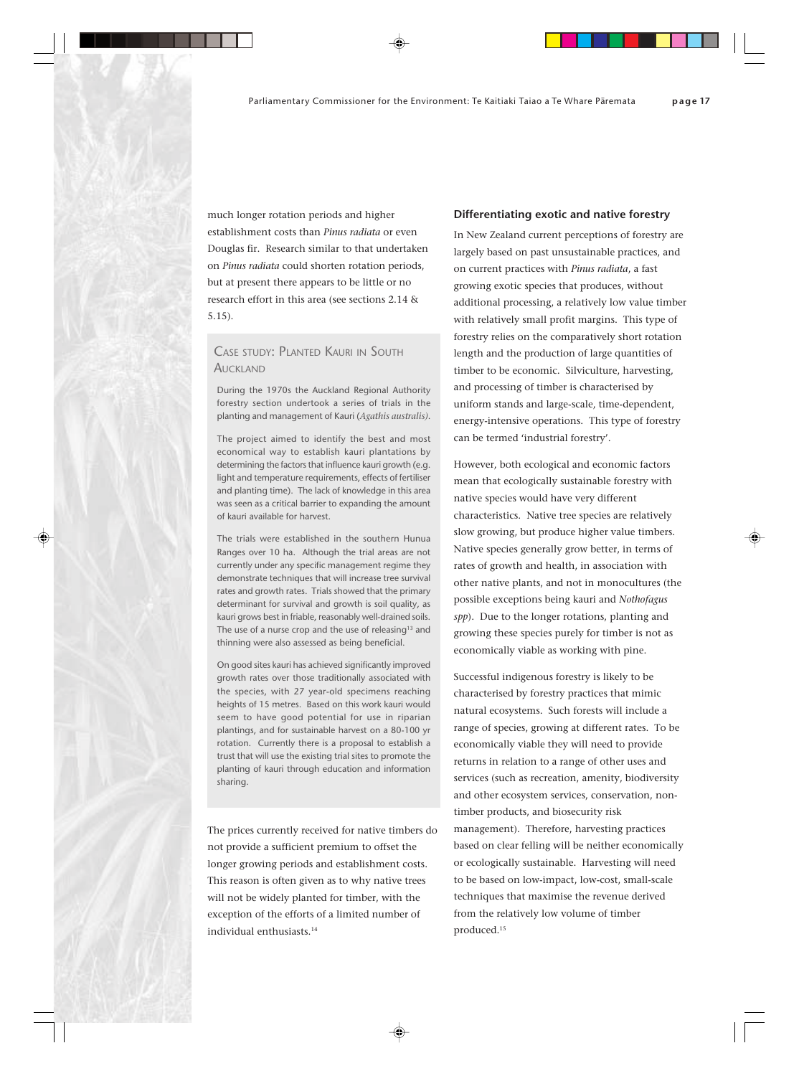much longer rotation periods and higher establishment costs than *Pinus radiata* or even Douglas fir. Research similar to that undertaken on *Pinus radiata* could shorten rotation periods, but at present there appears to be little or no research effort in this area (see sections 2.14 & 5.15).

# CASE STUDY: PLANTED KAURI IN SOUTH **AUCKLAND**

During the 1970s the Auckland Regional Authority forestry section undertook a series of trials in the planting and management of Kauri (*Agathis australis)*.

The project aimed to identify the best and most economical way to establish kauri plantations by determining the factors that influence kauri growth (e.g. light and temperature requirements, effects of fertiliser and planting time). The lack of knowledge in this area was seen as a critical barrier to expanding the amount of kauri available for harvest.

The trials were established in the southern Hunua Ranges over 10 ha. Although the trial areas are not currently under any specific management regime they demonstrate techniques that will increase tree survival rates and growth rates. Trials showed that the primary determinant for survival and growth is soil quality, as kauri grows best in friable, reasonably well-drained soils. The use of a nurse crop and the use of releasing<sup>13</sup> and thinning were also assessed as being beneficial.

On good sites kauri has achieved significantly improved growth rates over those traditionally associated with the species, with 27 year-old specimens reaching heights of 15 metres. Based on this work kauri would seem to have good potential for use in riparian plantings, and for sustainable harvest on a 80-100 yr rotation. Currently there is a proposal to establish a trust that will use the existing trial sites to promote the planting of kauri through education and information sharing.

The prices currently received for native timbers do not provide a sufficient premium to offset the longer growing periods and establishment costs. This reason is often given as to why native trees will not be widely planted for timber, with the exception of the efforts of a limited number of individual enthusiasts.<sup>14</sup>

#### **Differentiating exotic and native forestry**

In New Zealand current perceptions of forestry are largely based on past unsustainable practices, and on current practices with *Pinus radiata*, a fast growing exotic species that produces, without additional processing, a relatively low value timber with relatively small profit margins. This type of forestry relies on the comparatively short rotation length and the production of large quantities of timber to be economic. Silviculture, harvesting, and processing of timber is characterised by uniform stands and large-scale, time-dependent, energy-intensive operations. This type of forestry can be termed 'industrial forestry'.

However, both ecological and economic factors mean that ecologically sustainable forestry with native species would have very different characteristics. Native tree species are relatively slow growing, but produce higher value timbers. Native species generally grow better, in terms of rates of growth and health, in association with other native plants, and not in monocultures (the possible exceptions being kauri and *Nothofagus spp*). Due to the longer rotations, planting and growing these species purely for timber is not as economically viable as working with pine.

Successful indigenous forestry is likely to be characterised by forestry practices that mimic natural ecosystems. Such forests will include a range of species, growing at different rates. To be economically viable they will need to provide returns in relation to a range of other uses and services (such as recreation, amenity, biodiversity and other ecosystem services, conservation, nontimber products, and biosecurity risk management). Therefore, harvesting practices based on clear felling will be neither economically or ecologically sustainable. Harvesting will need to be based on low-impact, low-cost, small-scale techniques that maximise the revenue derived from the relatively low volume of timber produced.15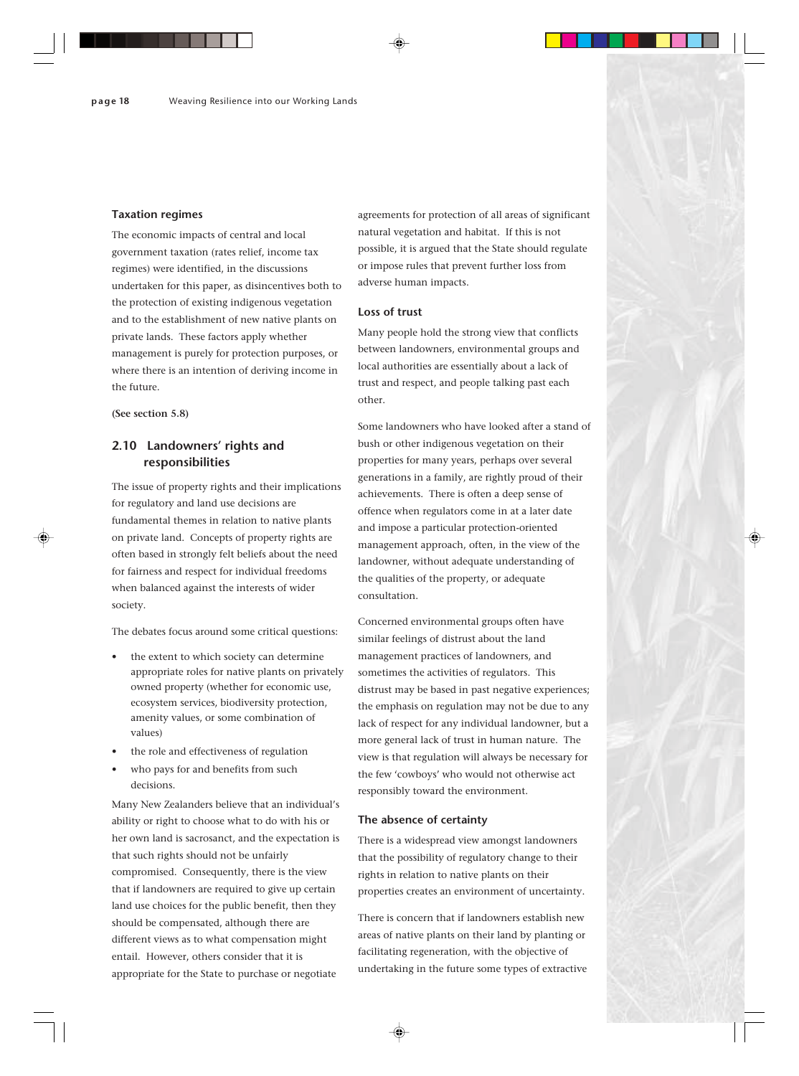#### **Taxation regimes**

The economic impacts of central and local government taxation (rates relief, income tax regimes) were identified, in the discussions undertaken for this paper, as disincentives both to the protection of existing indigenous vegetation and to the establishment of new native plants on private lands. These factors apply whether management is purely for protection purposes, or where there is an intention of deriving income in the future.

**(See section 5.8)**

# **2.10 Landowners' rights and responsibilities**

The issue of property rights and their implications for regulatory and land use decisions are fundamental themes in relation to native plants on private land. Concepts of property rights are often based in strongly felt beliefs about the need for fairness and respect for individual freedoms when balanced against the interests of wider society.

The debates focus around some critical questions:

- the extent to which society can determine appropriate roles for native plants on privately owned property (whether for economic use, ecosystem services, biodiversity protection, amenity values, or some combination of values)
- the role and effectiveness of regulation
- who pays for and benefits from such decisions.

Many New Zealanders believe that an individual's ability or right to choose what to do with his or her own land is sacrosanct, and the expectation is that such rights should not be unfairly compromised. Consequently, there is the view that if landowners are required to give up certain land use choices for the public benefit, then they should be compensated, although there are different views as to what compensation might entail. However, others consider that it is appropriate for the State to purchase or negotiate

agreements for protection of all areas of significant natural vegetation and habitat. If this is not possible, it is argued that the State should regulate or impose rules that prevent further loss from adverse human impacts.

#### **Loss of trust**

Many people hold the strong view that conflicts between landowners, environmental groups and local authorities are essentially about a lack of trust and respect, and people talking past each other.

Some landowners who have looked after a stand of bush or other indigenous vegetation on their properties for many years, perhaps over several generations in a family, are rightly proud of their achievements. There is often a deep sense of offence when regulators come in at a later date and impose a particular protection-oriented management approach, often, in the view of the landowner, without adequate understanding of the qualities of the property, or adequate consultation.

Concerned environmental groups often have similar feelings of distrust about the land management practices of landowners, and sometimes the activities of regulators. This distrust may be based in past negative experiences; the emphasis on regulation may not be due to any lack of respect for any individual landowner, but a more general lack of trust in human nature. The view is that regulation will always be necessary for the few 'cowboys' who would not otherwise act responsibly toward the environment.

#### **The absence of certainty**

There is a widespread view amongst landowners that the possibility of regulatory change to their rights in relation to native plants on their properties creates an environment of uncertainty.

There is concern that if landowners establish new areas of native plants on their land by planting or facilitating regeneration, with the objective of undertaking in the future some types of extractive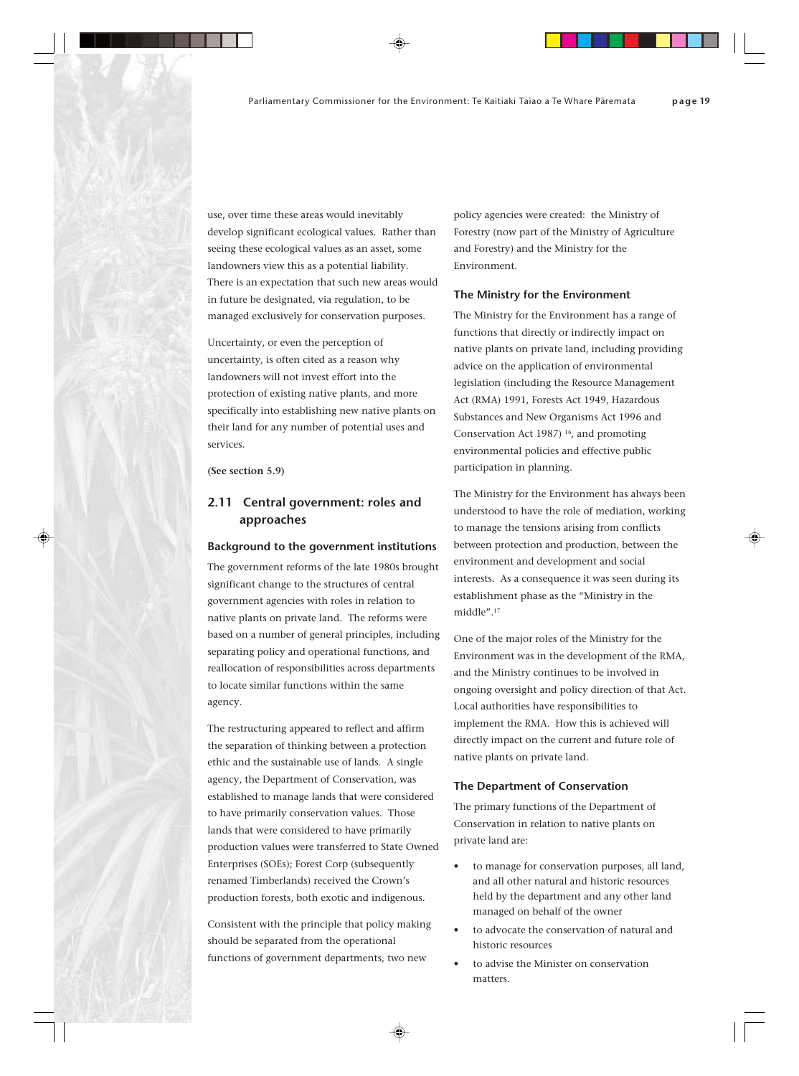use, over time these areas would inevitably develop significant ecological values. Rather than seeing these ecological values as an asset, some landowners view this as a potential liability. There is an expectation that such new areas would in future be designated, via regulation, to be managed exclusively for conservation purposes.

Uncertainty, or even the perception of uncertainty, is often cited as a reason why landowners will not invest effort into the protection of existing native plants, and more specifically into establishing new native plants on their land for any number of potential uses and services.

**(See section 5.9)**

# **2.11 Central government: roles and approaches**

#### **Background to the government institutions**

The government reforms of the late 1980s brought significant change to the structures of central government agencies with roles in relation to native plants on private land. The reforms were based on a number of general principles, including separating policy and operational functions, and reallocation of responsibilities across departments to locate similar functions within the same agency.

The restructuring appeared to reflect and affirm the separation of thinking between a protection ethic and the sustainable use of lands. A single agency, the Department of Conservation, was established to manage lands that were considered to have primarily conservation values. Those lands that were considered to have primarily production values were transferred to State Owned Enterprises (SOEs); Forest Corp (subsequently renamed Timberlands) received the Crown's production forests, both exotic and indigenous.

Consistent with the principle that policy making should be separated from the operational functions of government departments, two new

policy agencies were created: the Ministry of Forestry (now part of the Ministry of Agriculture and Forestry) and the Ministry for the Environment.

#### **The Ministry for the Environment**

The Ministry for the Environment has a range of functions that directly or indirectly impact on native plants on private land, including providing advice on the application of environmental legislation (including the Resource Management Act (RMA) 1991, Forests Act 1949, Hazardous Substances and New Organisms Act 1996 and Conservation Act 1987) 16, and promoting environmental policies and effective public participation in planning.

The Ministry for the Environment has always been understood to have the role of mediation, working to manage the tensions arising from conflicts between protection and production, between the environment and development and social interests. As a consequence it was seen during its establishment phase as the "Ministry in the middle".17

One of the major roles of the Ministry for the Environment was in the development of the RMA, and the Ministry continues to be involved in ongoing oversight and policy direction of that Act. Local authorities have responsibilities to implement the RMA. How this is achieved will directly impact on the current and future role of native plants on private land.

#### **The Department of Conservation**

The primary functions of the Department of Conservation in relation to native plants on private land are:

- to manage for conservation purposes, all land, and all other natural and historic resources held by the department and any other land managed on behalf of the owner
- to advocate the conservation of natural and historic resources
- to advise the Minister on conservation matters.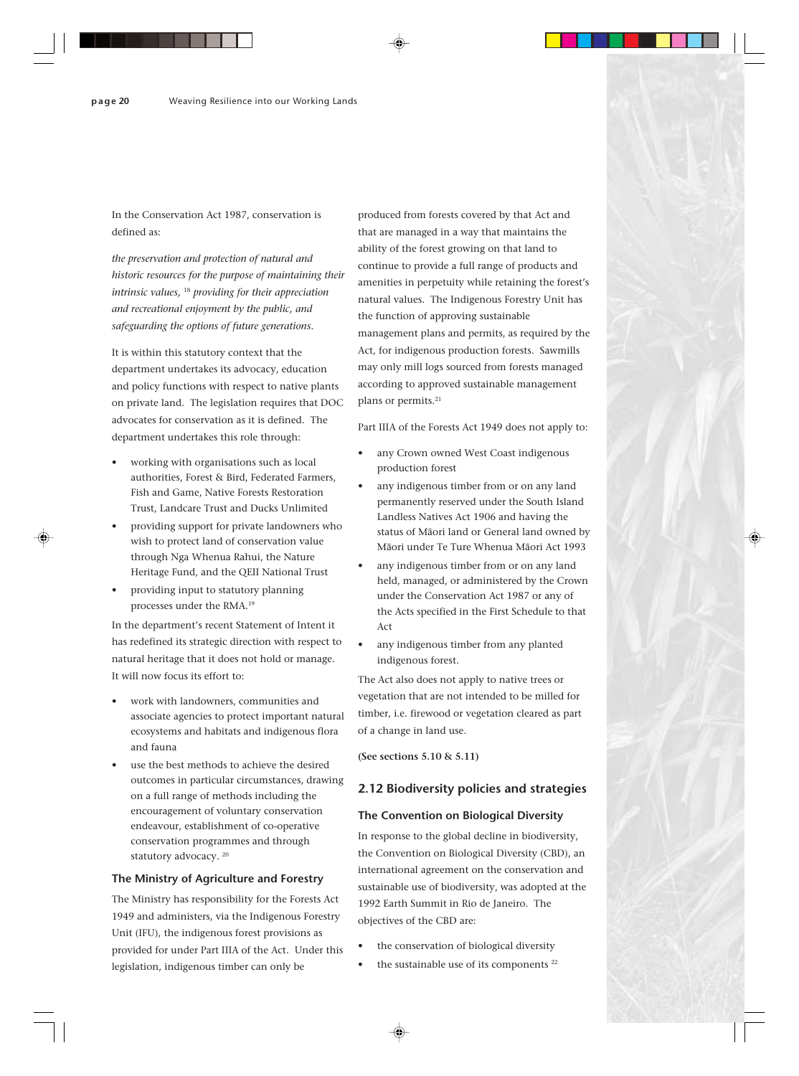In the Conservation Act 1987, conservation is defined as:

*the preservation and protection of natural and historic resources for the purpose of maintaining their intrinsic values,* 18 *providing for their appreciation and recreational enjoyment by the public, and safeguarding the options of future generations.*

It is within this statutory context that the department undertakes its advocacy, education and policy functions with respect to native plants on private land. The legislation requires that DOC advocates for conservation as it is defined. The department undertakes this role through:

- working with organisations such as local authorities, Forest & Bird, Federated Farmers, Fish and Game, Native Forests Restoration Trust, Landcare Trust and Ducks Unlimited
- providing support for private landowners who wish to protect land of conservation value through Nga Whenua Rahui, the Nature Heritage Fund, and the QEII National Trust
- providing input to statutory planning processes under the RMA.19

In the department's recent Statement of Intent it has redefined its strategic direction with respect to natural heritage that it does not hold or manage. It will now focus its effort to:

- work with landowners, communities and associate agencies to protect important natural ecosystems and habitats and indigenous flora and fauna
- use the best methods to achieve the desired outcomes in particular circumstances, drawing on a full range of methods including the encouragement of voluntary conservation endeavour, establishment of co-operative conservation programmes and through statutory advocacy. 20

#### **The Ministry of Agriculture and Forestry**

The Ministry has responsibility for the Forests Act 1949 and administers, via the Indigenous Forestry Unit (IFU), the indigenous forest provisions as provided for under Part IIIA of the Act. Under this legislation, indigenous timber can only be

produced from forests covered by that Act and that are managed in a way that maintains the ability of the forest growing on that land to continue to provide a full range of products and amenities in perpetuity while retaining the forest's natural values. The Indigenous Forestry Unit has the function of approving sustainable management plans and permits, as required by the Act, for indigenous production forests. Sawmills may only mill logs sourced from forests managed according to approved sustainable management plans or permits.21

Part IIIA of the Forests Act 1949 does not apply to:

- any Crown owned West Coast indigenous production forest
- any indigenous timber from or on any land permanently reserved under the South Island Landless Natives Act 1906 and having the status of Mäori land or General land owned by Mäori under Te Ture Whenua Mäori Act 1993
- any indigenous timber from or on any land held, managed, or administered by the Crown under the Conservation Act 1987 or any of the Acts specified in the First Schedule to that Act
- any indigenous timber from any planted indigenous forest.

The Act also does not apply to native trees or vegetation that are not intended to be milled for timber, i.e. firewood or vegetation cleared as part of a change in land use.

**(See sections 5.10 & 5.11)**

# **2.12 Biodiversity policies and strategies**

#### **The Convention on Biological Diversity**

In response to the global decline in biodiversity, the Convention on Biological Diversity (CBD), an international agreement on the conservation and sustainable use of biodiversity, was adopted at the 1992 Earth Summit in Rio de Janeiro. The objectives of the CBD are:

- the conservation of biological diversity
- the sustainable use of its components<sup>22</sup>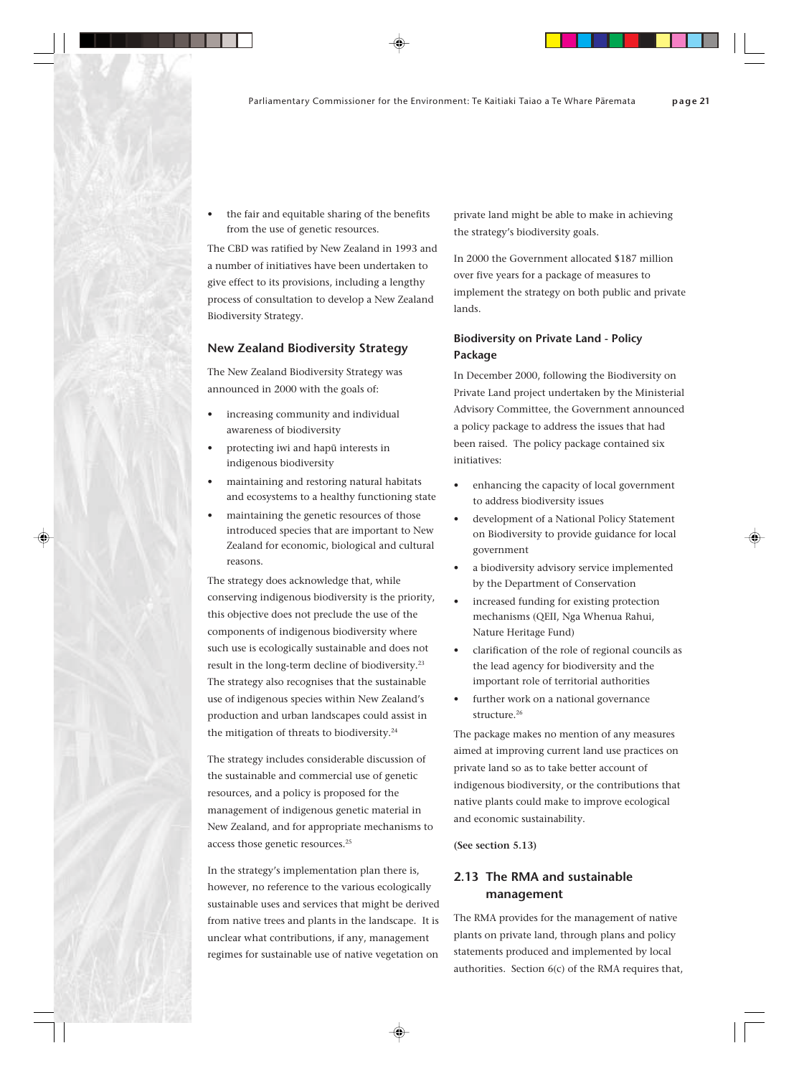the fair and equitable sharing of the benefits from the use of genetic resources.

The CBD was ratified by New Zealand in 1993 and a number of initiatives have been undertaken to give effect to its provisions, including a lengthy process of consultation to develop a New Zealand Biodiversity Strategy.

#### **New Zealand Biodiversity Strategy**

The New Zealand Biodiversity Strategy was announced in 2000 with the goals of:

- increasing community and individual awareness of biodiversity
- protecting iwi and hapü interests in indigenous biodiversity
- maintaining and restoring natural habitats and ecosystems to a healthy functioning state
- maintaining the genetic resources of those introduced species that are important to New Zealand for economic, biological and cultural reasons.

The strategy does acknowledge that, while conserving indigenous biodiversity is the priority, this objective does not preclude the use of the components of indigenous biodiversity where such use is ecologically sustainable and does not result in the long-term decline of biodiversity.23 The strategy also recognises that the sustainable use of indigenous species within New Zealand's production and urban landscapes could assist in the mitigation of threats to biodiversity.<sup>24</sup>

The strategy includes considerable discussion of the sustainable and commercial use of genetic resources, and a policy is proposed for the management of indigenous genetic material in New Zealand, and for appropriate mechanisms to access those genetic resources.<sup>25</sup>

In the strategy's implementation plan there is, however, no reference to the various ecologically sustainable uses and services that might be derived from native trees and plants in the landscape. It is unclear what contributions, if any, management regimes for sustainable use of native vegetation on

private land might be able to make in achieving the strategy's biodiversity goals.

In 2000 the Government allocated \$187 million over five years for a package of measures to implement the strategy on both public and private lands.

# **Biodiversity on Private Land - Policy Package**

In December 2000, following the Biodiversity on Private Land project undertaken by the Ministerial Advisory Committee, the Government announced a policy package to address the issues that had been raised. The policy package contained six initiatives:

- enhancing the capacity of local government to address biodiversity issues
- development of a National Policy Statement on Biodiversity to provide guidance for local government
- a biodiversity advisory service implemented by the Department of Conservation
- increased funding for existing protection mechanisms (QEII, Nga Whenua Rahui, Nature Heritage Fund)
- clarification of the role of regional councils as the lead agency for biodiversity and the important role of territorial authorities
- further work on a national governance structure.<sup>26</sup>

The package makes no mention of any measures aimed at improving current land use practices on private land so as to take better account of indigenous biodiversity, or the contributions that native plants could make to improve ecological and economic sustainability.

**(See section 5.13)**

# **2.13 The RMA and sustainable management**

The RMA provides for the management of native plants on private land, through plans and policy statements produced and implemented by local authorities. Section 6(c) of the RMA requires that,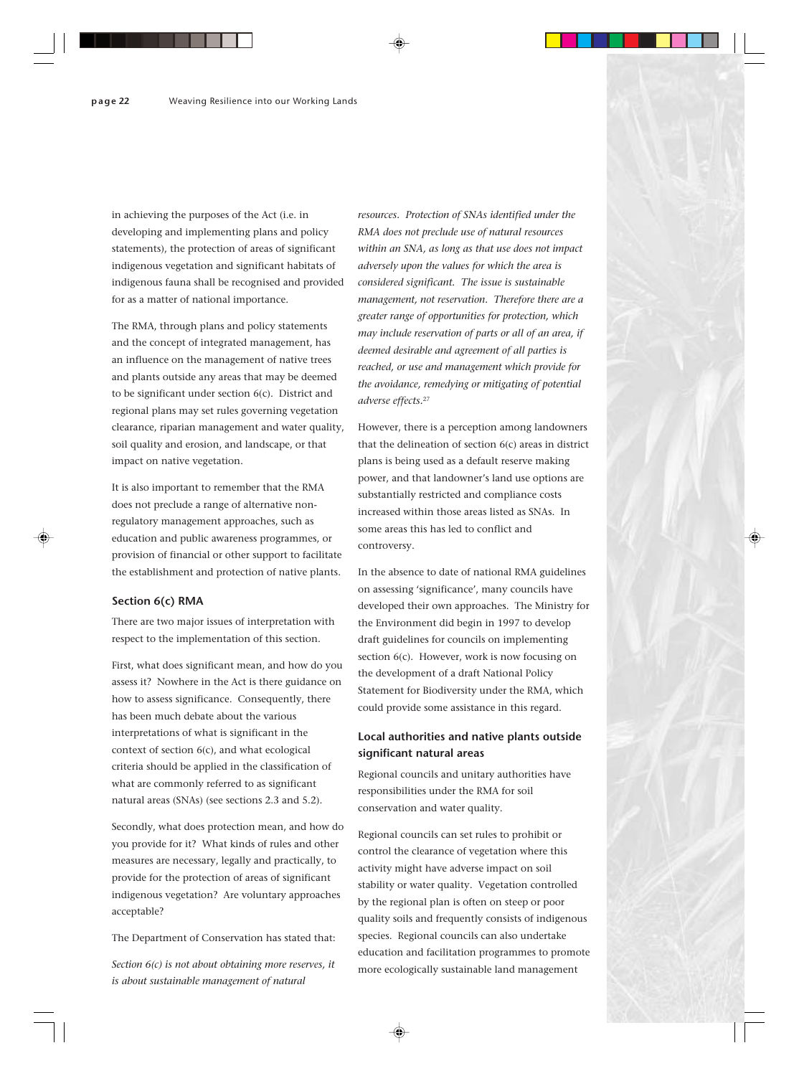in achieving the purposes of the Act (i.e. in developing and implementing plans and policy statements), the protection of areas of significant indigenous vegetation and significant habitats of indigenous fauna shall be recognised and provided for as a matter of national importance.

The RMA, through plans and policy statements and the concept of integrated management, has an influence on the management of native trees and plants outside any areas that may be deemed to be significant under section 6(c). District and regional plans may set rules governing vegetation clearance, riparian management and water quality, soil quality and erosion, and landscape, or that impact on native vegetation.

It is also important to remember that the RMA does not preclude a range of alternative nonregulatory management approaches, such as education and public awareness programmes, or provision of financial or other support to facilitate the establishment and protection of native plants.

### **Section 6(c) RMA**

There are two major issues of interpretation with respect to the implementation of this section.

First, what does significant mean, and how do you assess it? Nowhere in the Act is there guidance on how to assess significance. Consequently, there has been much debate about the various interpretations of what is significant in the context of section 6(c), and what ecological criteria should be applied in the classification of what are commonly referred to as significant natural areas (SNAs) (see sections 2.3 and 5.2).

Secondly, what does protection mean, and how do you provide for it? What kinds of rules and other measures are necessary, legally and practically, to provide for the protection of areas of significant indigenous vegetation? Are voluntary approaches acceptable?

The Department of Conservation has stated that:

*Section 6(c) is not about obtaining more reserves, it is about sustainable management of natural*

*resources. Protection of SNAs identified under the RMA does not preclude use of natural resources within an SNA, as long as that use does not impact adversely upon the values for which the area is considered significant. The issue is sustainable management, not reservation. Therefore there are a greater range of opportunities for protection, which may include reservation of parts or all of an area, if deemed desirable and agreement of all parties is reached, or use and management which provide for the avoidance, remedying or mitigating of potential adverse effects.*<sup>27</sup>

However, there is a perception among landowners that the delineation of section 6(c) areas in district plans is being used as a default reserve making power, and that landowner's land use options are substantially restricted and compliance costs increased within those areas listed as SNAs. In some areas this has led to conflict and controversy.

In the absence to date of national RMA guidelines on assessing 'significance', many councils have developed their own approaches. The Ministry for the Environment did begin in 1997 to develop draft guidelines for councils on implementing section 6(c). However, work is now focusing on the development of a draft National Policy Statement for Biodiversity under the RMA, which could provide some assistance in this regard.

# **Local authorities and native plants outside significant natural areas**

Regional councils and unitary authorities have responsibilities under the RMA for soil conservation and water quality.

Regional councils can set rules to prohibit or control the clearance of vegetation where this activity might have adverse impact on soil stability or water quality. Vegetation controlled by the regional plan is often on steep or poor quality soils and frequently consists of indigenous species. Regional councils can also undertake education and facilitation programmes to promote more ecologically sustainable land management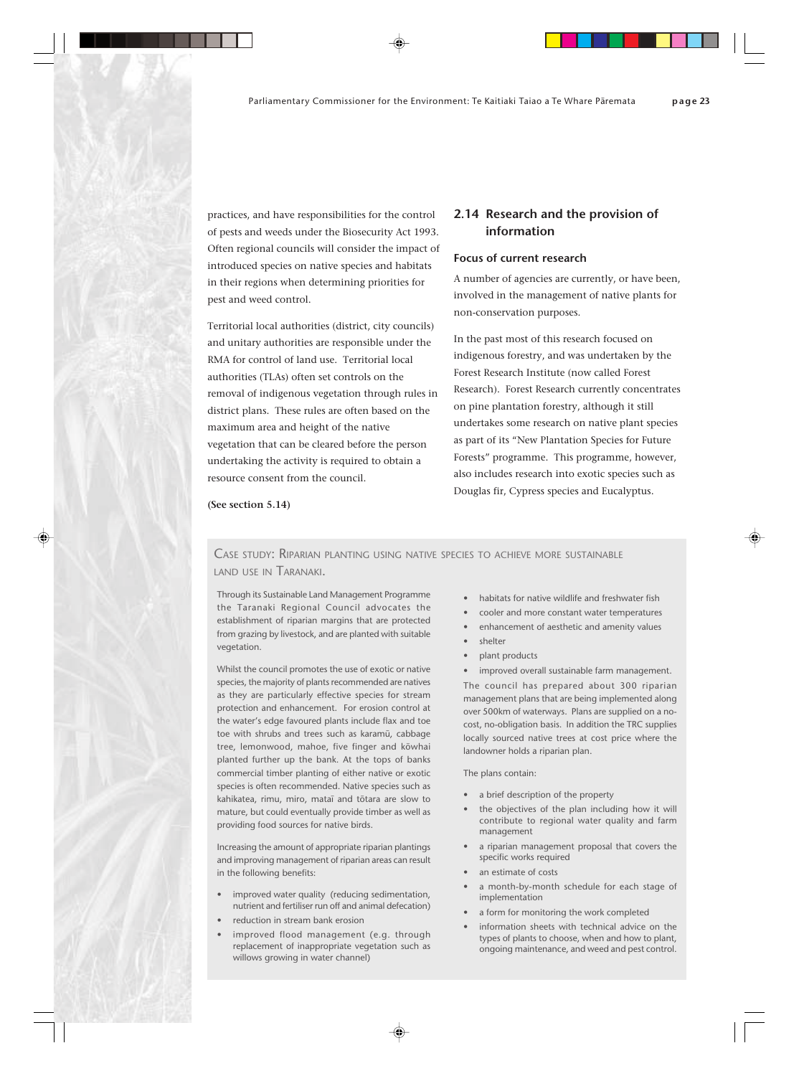practices, and have responsibilities for the control of pests and weeds under the Biosecurity Act 1993. Often regional councils will consider the impact of introduced species on native species and habitats in their regions when determining priorities for pest and weed control.

Territorial local authorities (district, city councils) and unitary authorities are responsible under the RMA for control of land use. Territorial local authorities (TLAs) often set controls on the removal of indigenous vegetation through rules in district plans. These rules are often based on the maximum area and height of the native vegetation that can be cleared before the person undertaking the activity is required to obtain a resource consent from the council.

# **2.14 Research and the provision of information**

# **Focus of current research**

A number of agencies are currently, or have been, involved in the management of native plants for non-conservation purposes.

In the past most of this research focused on indigenous forestry, and was undertaken by the Forest Research Institute (now called Forest Research). Forest Research currently concentrates on pine plantation forestry, although it still undertakes some research on native plant species as part of its "New Plantation Species for Future Forests" programme. This programme, however, also includes research into exotic species such as Douglas fir, Cypress species and Eucalyptus.

**(See section 5.14)**

CASE STUDY: RIPARIAN PLANTING USING NATIVE SPECIES TO ACHIEVE MORE SUSTAINABLE LAND USE IN TARANAKI.

Through its Sustainable Land Management Programme the Taranaki Regional Council advocates the establishment of riparian margins that are protected from grazing by livestock, and are planted with suitable vegetation.

Whilst the council promotes the use of exotic or native species, the majority of plants recommended are natives as they are particularly effective species for stream protection and enhancement. For erosion control at the water's edge favoured plants include flax and toe toe with shrubs and trees such as karamü, cabbage tree, lemonwood, mahoe, five finger and köwhai planted further up the bank. At the tops of banks commercial timber planting of either native or exotic species is often recommended. Native species such as kahikatea, rimu, miro, mataï and tötara are slow to mature, but could eventually provide timber as well as providing food sources for native birds.

Increasing the amount of appropriate riparian plantings and improving management of riparian areas can result in the following benefits:

- improved water quality (reducing sedimentation, nutrient and fertiliser run off and animal defecation)
- reduction in stream bank erosion
- improved flood management (e.g. through replacement of inappropriate vegetation such as willows growing in water channel)
- habitats for native wildlife and freshwater fish
	- cooler and more constant water temperatures
- enhancement of aesthetic and amenity values
- shelter
- plant products
- improved overall sustainable farm management.

The council has prepared about 300 riparian management plans that are being implemented along over 500km of waterways. Plans are supplied on a nocost, no-obligation basis. In addition the TRC supplies locally sourced native trees at cost price where the landowner holds a riparian plan.

The plans contain:

- a brief description of the property
- the objectives of the plan including how it will contribute to regional water quality and farm management
- a riparian management proposal that covers the specific works required
- an estimate of costs
- a month-by-month schedule for each stage of implementation
- a form for monitoring the work completed
- information sheets with technical advice on the types of plants to choose, when and how to plant, ongoing maintenance, and weed and pest control.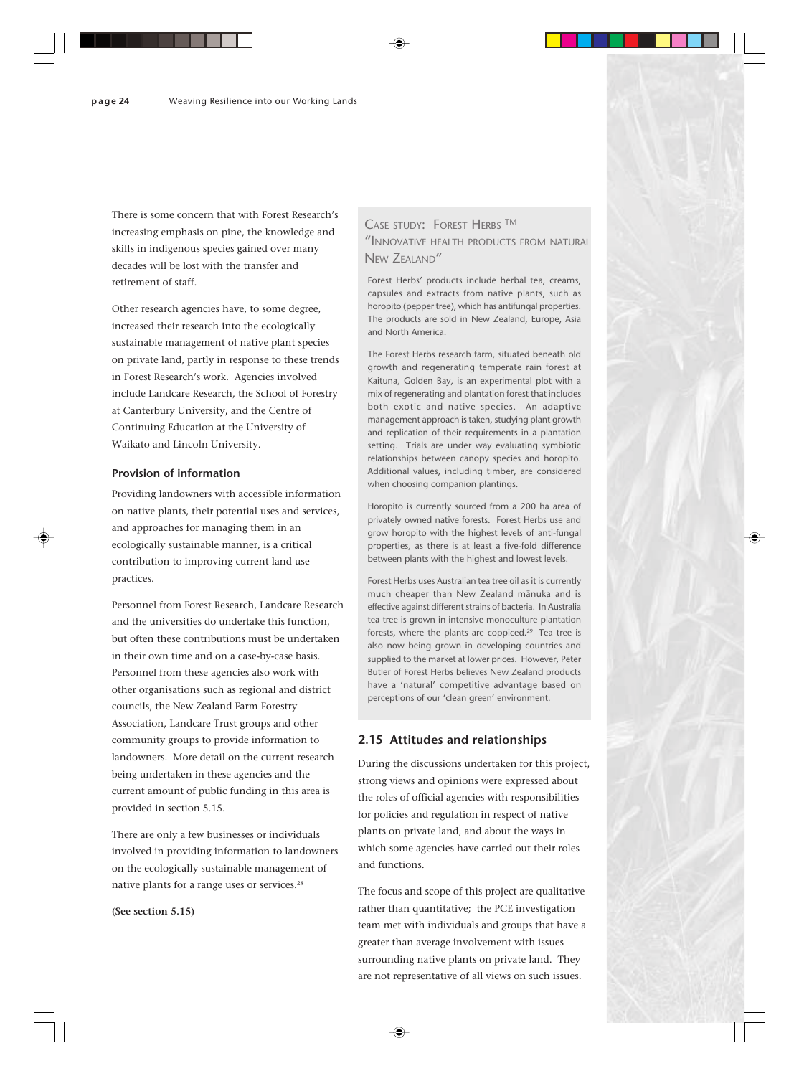There is some concern that with Forest Research's increasing emphasis on pine, the knowledge and skills in indigenous species gained over many decades will be lost with the transfer and retirement of staff.

Other research agencies have, to some degree, increased their research into the ecologically sustainable management of native plant species on private land, partly in response to these trends in Forest Research's work. Agencies involved include Landcare Research, the School of Forestry at Canterbury University, and the Centre of Continuing Education at the University of Waikato and Lincoln University.

#### **Provision of information**

Providing landowners with accessible information on native plants, their potential uses and services, and approaches for managing them in an ecologically sustainable manner, is a critical contribution to improving current land use practices.

Personnel from Forest Research, Landcare Research and the universities do undertake this function, but often these contributions must be undertaken in their own time and on a case-by-case basis. Personnel from these agencies also work with other organisations such as regional and district councils, the New Zealand Farm Forestry Association, Landcare Trust groups and other community groups to provide information to landowners. More detail on the current research being undertaken in these agencies and the current amount of public funding in this area is provided in section 5.15.

There are only a few businesses or individuals involved in providing information to landowners on the ecologically sustainable management of native plants for a range uses or services.28

**(See section 5.15)**

# CASE STUDY: FOREST HERBS TM "INNOVATIVE HEALTH PRODUCTS FROM NATURAL NEW ZEALAND"

Forest Herbs' products include herbal tea, creams, capsules and extracts from native plants, such as horopito (pepper tree), which has antifungal properties. The products are sold in New Zealand, Europe, Asia and North America.

The Forest Herbs research farm, situated beneath old growth and regenerating temperate rain forest at Kaituna, Golden Bay, is an experimental plot with a mix of regenerating and plantation forest that includes both exotic and native species. An adaptive management approach is taken, studying plant growth and replication of their requirements in a plantation setting. Trials are under way evaluating symbiotic relationships between canopy species and horopito. Additional values, including timber, are considered when choosing companion plantings.

Horopito is currently sourced from a 200 ha area of privately owned native forests. Forest Herbs use and grow horopito with the highest levels of anti-fungal properties, as there is at least a five-fold difference between plants with the highest and lowest levels.

Forest Herbs uses Australian tea tree oil as it is currently much cheaper than New Zealand mänuka and is effective against different strains of bacteria. In Australia tea tree is grown in intensive monoculture plantation forests, where the plants are coppiced.<sup>29</sup> Tea tree is also now being grown in developing countries and supplied to the market at lower prices. However, Peter Butler of Forest Herbs believes New Zealand products have a 'natural' competitive advantage based on perceptions of our 'clean green' environment.

# **2.15 Attitudes and relationships**

During the discussions undertaken for this project, strong views and opinions were expressed about the roles of official agencies with responsibilities for policies and regulation in respect of native plants on private land, and about the ways in which some agencies have carried out their roles and functions.

The focus and scope of this project are qualitative rather than quantitative; the PCE investigation team met with individuals and groups that have a greater than average involvement with issues surrounding native plants on private land. They are not representative of all views on such issues.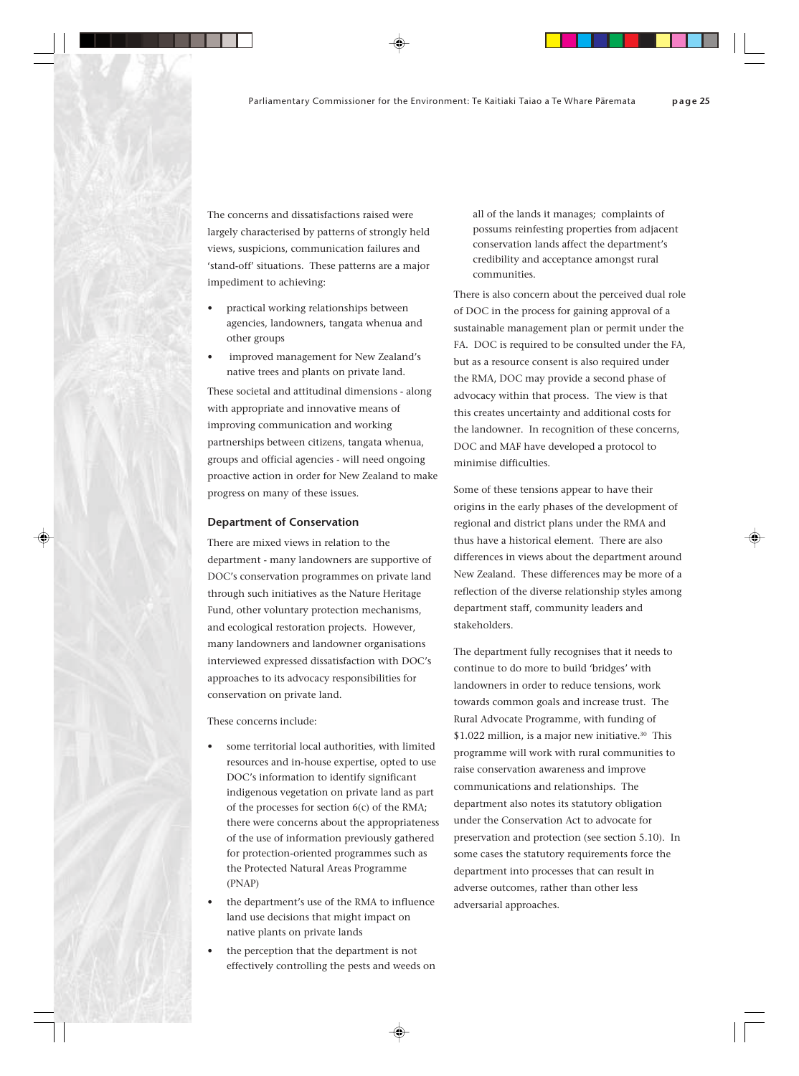The concerns and dissatisfactions raised were largely characterised by patterns of strongly held views, suspicions, communication failures and 'stand-off' situations. These patterns are a major impediment to achieving:

- practical working relationships between agencies, landowners, tangata whenua and other groups
- improved management for New Zealand's native trees and plants on private land.

These societal and attitudinal dimensions - along with appropriate and innovative means of improving communication and working partnerships between citizens, tangata whenua, groups and official agencies - will need ongoing proactive action in order for New Zealand to make progress on many of these issues.

#### **Department of Conservation**

There are mixed views in relation to the department - many landowners are supportive of DOC's conservation programmes on private land through such initiatives as the Nature Heritage Fund, other voluntary protection mechanisms, and ecological restoration projects. However, many landowners and landowner organisations interviewed expressed dissatisfaction with DOC's approaches to its advocacy responsibilities for conservation on private land.

These concerns include:

- some territorial local authorities, with limited resources and in-house expertise, opted to use DOC's information to identify significant indigenous vegetation on private land as part of the processes for section 6(c) of the RMA; there were concerns about the appropriateness of the use of information previously gathered for protection-oriented programmes such as the Protected Natural Areas Programme (PNAP)
- the department's use of the RMA to influence land use decisions that might impact on native plants on private lands
- the perception that the department is not effectively controlling the pests and weeds on

all of the lands it manages; complaints of possums reinfesting properties from adjacent conservation lands affect the department's credibility and acceptance amongst rural communities.

There is also concern about the perceived dual role of DOC in the process for gaining approval of a sustainable management plan or permit under the FA. DOC is required to be consulted under the FA, but as a resource consent is also required under the RMA, DOC may provide a second phase of advocacy within that process. The view is that this creates uncertainty and additional costs for the landowner. In recognition of these concerns, DOC and MAF have developed a protocol to minimise difficulties.

Some of these tensions appear to have their origins in the early phases of the development of regional and district plans under the RMA and thus have a historical element. There are also differences in views about the department around New Zealand. These differences may be more of a reflection of the diverse relationship styles among department staff, community leaders and stakeholders.

The department fully recognises that it needs to continue to do more to build 'bridges' with landowners in order to reduce tensions, work towards common goals and increase trust. The Rural Advocate Programme, with funding of \$1.022 million, is a major new initiative.<sup>30</sup> This programme will work with rural communities to raise conservation awareness and improve communications and relationships. The department also notes its statutory obligation under the Conservation Act to advocate for preservation and protection (see section 5.10). In some cases the statutory requirements force the department into processes that can result in adverse outcomes, rather than other less adversarial approaches.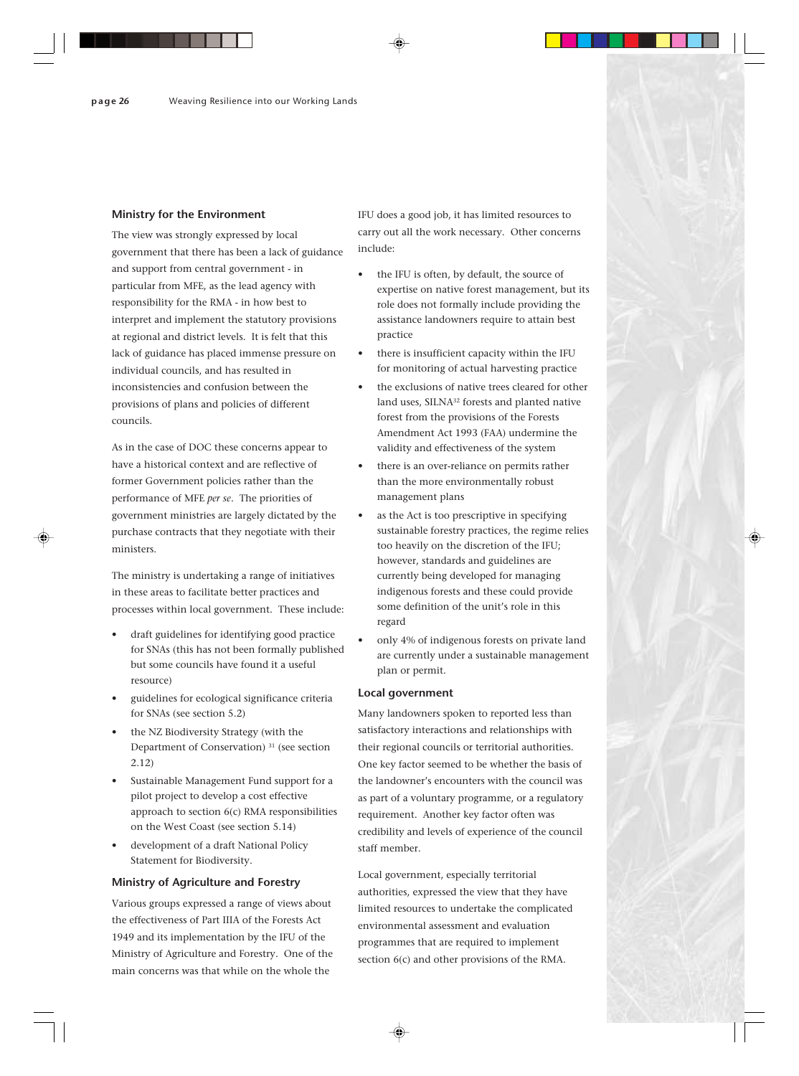#### **Ministry for the Environment**

The view was strongly expressed by local government that there has been a lack of guidance and support from central government - in particular from MFE, as the lead agency with responsibility for the RMA - in how best to interpret and implement the statutory provisions at regional and district levels. It is felt that this lack of guidance has placed immense pressure on individual councils, and has resulted in inconsistencies and confusion between the provisions of plans and policies of different councils.

As in the case of DOC these concerns appear to have a historical context and are reflective of former Government policies rather than the performance of MFE *per se*. The priorities of government ministries are largely dictated by the purchase contracts that they negotiate with their ministers.

The ministry is undertaking a range of initiatives in these areas to facilitate better practices and processes within local government. These include:

- draft guidelines for identifying good practice for SNAs (this has not been formally published but some councils have found it a useful resource)
- guidelines for ecological significance criteria for SNAs (see section 5.2)
- the NZ Biodiversity Strategy (with the Department of Conservation) 31 (see section 2.12)
- Sustainable Management Fund support for a pilot project to develop a cost effective approach to section 6(c) RMA responsibilities on the West Coast (see section 5.14)
- development of a draft National Policy Statement for Biodiversity.

#### **Ministry of Agriculture and Forestry**

Various groups expressed a range of views about the effectiveness of Part IIIA of the Forests Act 1949 and its implementation by the IFU of the Ministry of Agriculture and Forestry. One of the main concerns was that while on the whole the

IFU does a good job, it has limited resources to carry out all the work necessary. Other concerns include:

- the IFU is often, by default, the source of expertise on native forest management, but its role does not formally include providing the assistance landowners require to attain best practice
- there is insufficient capacity within the IFU for monitoring of actual harvesting practice
- the exclusions of native trees cleared for other land uses, SILNA<sup>32</sup> forests and planted native forest from the provisions of the Forests Amendment Act 1993 (FAA) undermine the validity and effectiveness of the system
- there is an over-reliance on permits rather than the more environmentally robust management plans
- as the Act is too prescriptive in specifying sustainable forestry practices, the regime relies too heavily on the discretion of the IFU; however, standards and guidelines are currently being developed for managing indigenous forests and these could provide some definition of the unit's role in this regard
- only 4% of indigenous forests on private land are currently under a sustainable management plan or permit.

#### **Local government**

Many landowners spoken to reported less than satisfactory interactions and relationships with their regional councils or territorial authorities. One key factor seemed to be whether the basis of the landowner's encounters with the council was as part of a voluntary programme, or a regulatory requirement. Another key factor often was credibility and levels of experience of the council staff member.

Local government, especially territorial authorities, expressed the view that they have limited resources to undertake the complicated environmental assessment and evaluation programmes that are required to implement section 6(c) and other provisions of the RMA.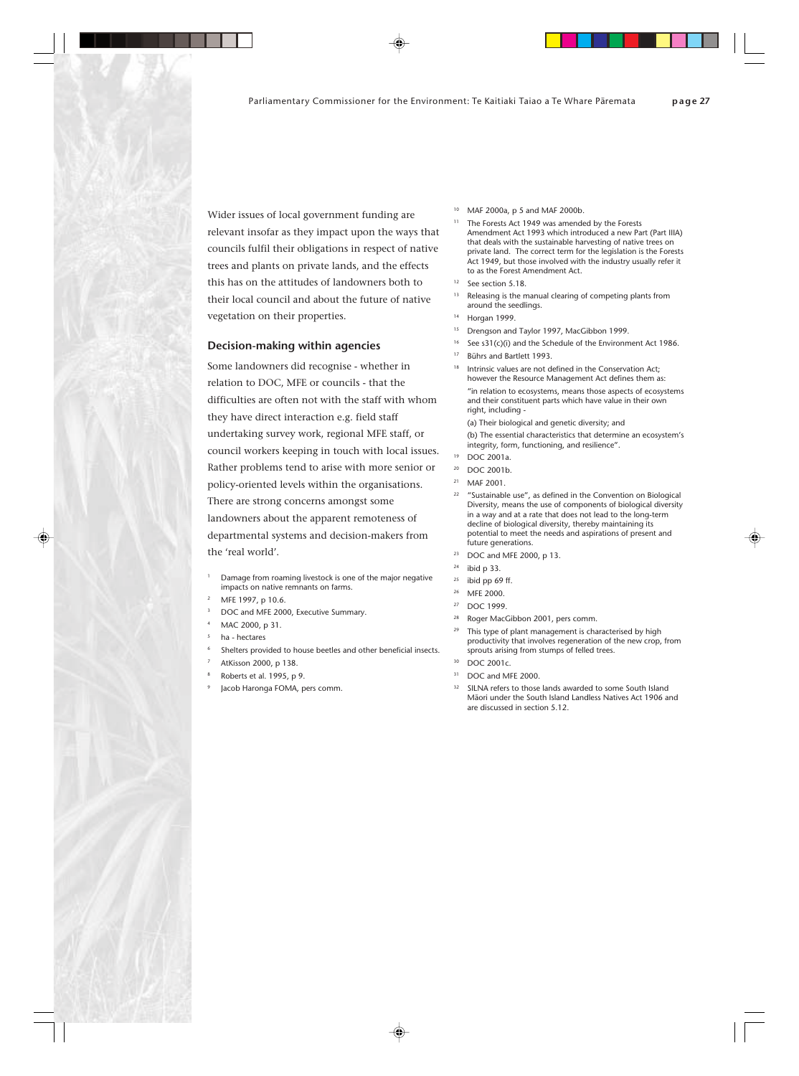Wider issues of local government funding are relevant insofar as they impact upon the ways that councils fulfil their obligations in respect of native trees and plants on private lands, and the effects this has on the attitudes of landowners both to their local council and about the future of native vegetation on their properties.

#### **Decision-making within agencies**

Some landowners did recognise - whether in relation to DOC, MFE or councils - that the difficulties are often not with the staff with whom they have direct interaction e.g. field staff undertaking survey work, regional MFE staff, or council workers keeping in touch with local issues. Rather problems tend to arise with more senior or policy-oriented levels within the organisations. There are strong concerns amongst some landowners about the apparent remoteness of departmental systems and decision-makers from the 'real world'.

- Damage from roaming livestock is one of the major negative impacts on native remnants on farms.
- MFE 1997, p 10.6.
- DOC and MFE 2000, Executive Summary.
- MAC 2000, p 31.
- <sup>5</sup> ha hectares
- Shelters provided to house beetles and other beneficial insects.
- AtKisson 2000, p 138.
- <sup>8</sup> Roberts et al. 1995, p 9.
- Jacob Haronga FOMA, pers comm.
- <sup>10</sup> MAF 2000a, p 5 and MAF 2000b.
- The Forests Act 1949 was amended by the Forests Amendment Act 1993 which introduced a new Part (Part IIIA) that deals with the sustainable harvesting of native trees on private land. The correct term for the legislation is the Forests Act 1949, but those involved with the industry usually refer it to as the Forest Amendment Act.
- <sup>12</sup> See section 5.18.
- Releasing is the manual clearing of competing plants from around the seedlings.
- <sup>14</sup> Horgan 1999.
- <sup>15</sup> Drengson and Taylor 1997, MacGibbon 1999.
- See s31(c)(i) and the Schedule of the Environment Act 1986.
- <sup>17</sup> Bührs and Bartlett 1993.
- Intrinsic values are not defined in the Conservation Act; however the Resource Management Act defines them as:

"in relation to ecosystems, means those aspects of ecosystems and their constituent parts which have value in their own right, including -

(a) Their biological and genetic diversity; and

(b) The essential characteristics that determine an ecosystem's integrity, form, functioning, and resilience".

- DOC 2001a.
- DOC 2001b.
- MAF 2001.
- "Sustainable use", as defined in the Convention on Biological Diversity, means the use of components of biological diversity in a way and at a rate that does not lead to the long-term decline of biological diversity, thereby maintaining its potential to meet the needs and aspirations of present and future generations.
- DOC and MFE 2000, p 13.
- ibid p 33.
- ibid pp 69 ff.
- MFE 2000.
- <sup>27</sup> DOC 1999.
- Roger MacGibbon 2001, pers comm.
- This type of plant management is characterised by high productivity that involves regeneration of the new crop, from sprouts arising from stumps of felled trees.
- $30$  DOC 2001c.
- <sup>31</sup> DOC and MFE 2000.
- <sup>32</sup> SILNA refers to those lands awarded to some South Island Mäori under the South Island Landless Natives Act 1906 and are discussed in section 5.12.